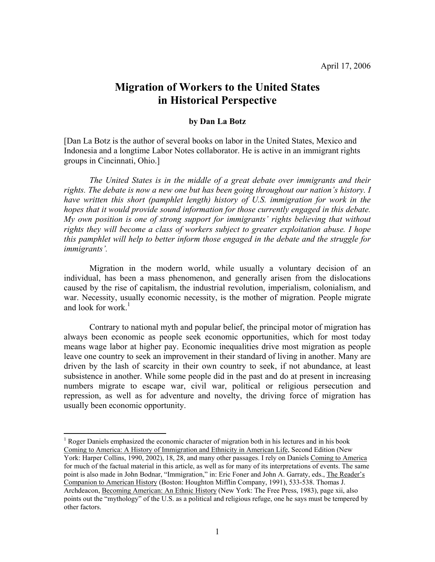# **Migration of Workers to the United States in Historical Perspective**

# **by Dan La Botz**

[Dan La Botz is the author of several books on labor in the United States, Mexico and Indonesia and a longtime Labor Notes collaborator. He is active in an immigrant rights groups in Cincinnati, Ohio.]

*The United States is in the middle of a great debate over immigrants and their rights. The debate is now a new one but has been going throughout our nation's history. I have written this short (pamphlet length) history of U.S. immigration for work in the hopes that it would provide sound information for those currently engaged in this debate. My own position is one of strong support for immigrants' rights believing that without rights they will become a class of workers subject to greater exploitation abuse. I hope this pamphlet will help to better inform those engaged in the debate and the struggle for immigrants'.* 

Migration in the modern world, while usually a voluntary decision of an individual, has been a mass phenomenon, and generally arisen from the dislocations caused by the rise of capitalism, the industrial revolution, imperialism, colonialism, and war. Necessity, usually economic necessity, is the mother of migration. People migrate and look for work $^{-1}$ 

Contrary to national myth and popular belief, the principal motor of migration has always been economic as people seek economic opportunities, which for most today means wage labor at higher pay. Economic inequalities drive most migration as people leave one country to seek an improvement in their standard of living in another. Many are driven by the lash of scarcity in their own country to seek, if not abundance, at least subsistence in another. While some people did in the past and do at present in increasing numbers migrate to escape war, civil war, political or religious persecution and repression, as well as for adventure and novelty, the driving force of migration has usually been economic opportunity.

<sup>&</sup>lt;sup>1</sup> Roger Daniels emphasized the economic character of migration both in his lectures and in his book Coming to America: A History of Immigration and Ethnicity in American Life, Second Edition (New

York: Harper Collins, 1990, 2002), 18, 28, and many other passages. I rely on Daniels Coming to America for much of the factual material in this article, as well as for many of its interpretations of events. The same point is also made in John Bodnar, "Immigration," in: Eric Foner and John A. Garraty, eds., The Reader's Companion to American History (Boston: Houghton Mifflin Company, 1991), 533-538. Thomas J. Archdeacon, Becoming American: An Ethnic History (New York: The Free Press, 1983), page xii, also points out the "mythology" of the U.S. as a political and religious refuge, one he says must be tempered by other factors.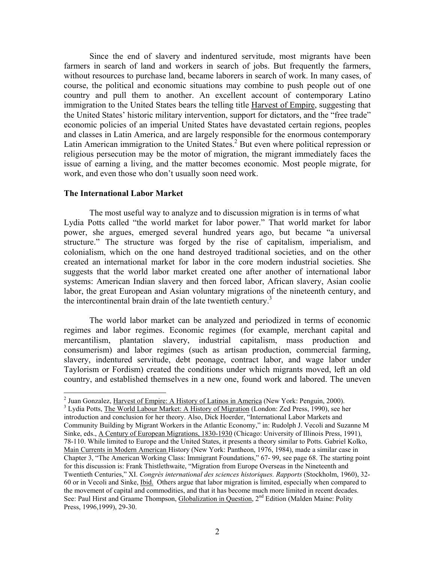Since the end of slavery and indentured servitude, most migrants have been farmers in search of land and workers in search of jobs. But frequently the farmers, without resources to purchase land, became laborers in search of work. In many cases, of course, the political and economic situations may combine to push people out of one country and pull them to another. An excellent account of contemporary Latino immigration to the United States bears the telling title Harvest of Empire, suggesting that the United States' historic military intervention, support for dictators, and the "free trade" economic policies of an imperial United States have devastated certain regions, peoples and classes in Latin America, and are largely responsible for the enormous contemporary Latin American immigration to the United States.<sup>2</sup> But even where political repression or religious persecution may be the motor of migration, the migrant immediately faces the issue of earning a living, and the matter becomes economic. Most people migrate, for work, and even those who don't usually soon need work.

#### **The International Labor Market**

 The most useful way to analyze and to discussion migration is in terms of what Lydia Potts called "the world market for labor power." That world market for labor power, she argues, emerged several hundred years ago, but became "a universal structure." The structure was forged by the rise of capitalism, imperialism, and colonialism, which on the one hand destroyed traditional societies, and on the other created an international market for labor in the core modern industrial societies. She suggests that the world labor market created one after another of international labor systems: American Indian slavery and then forced labor, African slavery, Asian coolie labor, the great European and Asian voluntary migrations of the nineteenth century, and the intercontinental brain drain of the late twentieth century.<sup>3</sup>

The world labor market can be analyzed and periodized in terms of economic regimes and labor regimes. Economic regimes (for example, merchant capital and mercantilism, plantation slavery, industrial capitalism, mass production and consumerism) and labor regimes (such as artisan production, commercial farming, slavery, indentured servitude, debt peonage, contract labor, and wage labor under Taylorism or Fordism) created the conditions under which migrants moved, left an old country, and established themselves in a new one, found work and labored. The uneven

<sup>&</sup>lt;sup>2</sup> Juan Gonzalez, <u>Harvest of Empire: A History of Latinos in America</u> (New York: Penguin, 2000).<br><sup>3</sup> Lydia Potts, The World Lebour Merket: A History of Migration (London: Zed Press, 1990), see by <sup>3</sup> Lydia Potts, The World Labour Market: A History of Migration (London: Zed Press, 1990), see her introduction and conclusion for her theory. Also, Dick Hoerder, "International Labor Markets and Community Building by Migrant Workers in the Atlantic Economy," in: Rudolph J. Vecoli and Suzanne M Sinke, eds., A Century of European Migrations, 1830-1930 (Chicago: University of Illinois Press, 1991), 78-110. While limited to Europe and the United States, it presents a theory similar to Potts. Gabriel Kolko, Main Currents in Modern American History (New York: Pantheon, 1976, 1984), made a similar case in Chapter 3, "The American Working Class: Immigrant Foundations," 67- 99, see page 68. The starting point for this discussion is: Frank Thistlethwaite, "Migration from Europe Overseas in the Nineteenth and Twentieth Centuries," XI. *Congrès international des sciences historiques. Rapports* (Stockholm, 1960), 32- 60 or in Vecoli and Sinke, Ibid. Others argue that labor migration is limited, especially when compared to the movement of capital and commodities, and that it has become much more limited in recent decades. See: Paul Hirst and Graame Thompson, Globalization in Question, 2<sup>nd</sup> Edition (Malden Maine: Polity Press, 1996,1999), 29-30.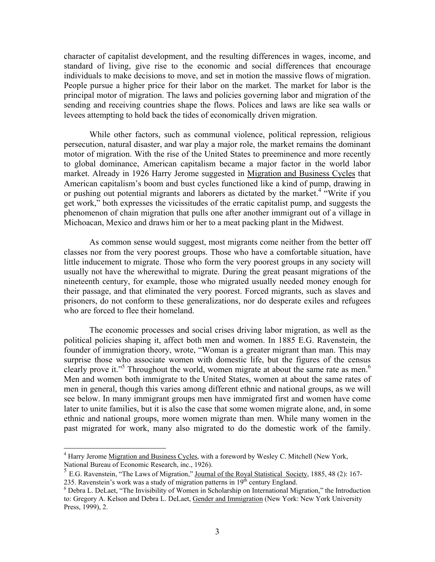character of capitalist development, and the resulting differences in wages, income, and standard of living, give rise to the economic and social differences that encourage individuals to make decisions to move, and set in motion the massive flows of migration. People pursue a higher price for their labor on the market. The market for labor is the principal motor of migration. The laws and policies governing labor and migration of the sending and receiving countries shape the flows. Polices and laws are like sea walls or levees attempting to hold back the tides of economically driven migration.

While other factors, such as communal violence, political repression, religious persecution, natural disaster, and war play a major role, the market remains the dominant motor of migration. With the rise of the United States to preeminence and more recently to global dominance, American capitalism became a major factor in the world labor market. Already in 1926 Harry Jerome suggested in Migration and Business Cycles that American capitalism's boom and bust cycles functioned like a kind of pump, drawing in or pushing out potential migrants and laborers as dictated by the market.<sup>4</sup> "Write if you get work," both expresses the vicissitudes of the erratic capitalist pump, and suggests the phenomenon of chain migration that pulls one after another immigrant out of a village in Michoacan, Mexico and draws him or her to a meat packing plant in the Midwest.

As common sense would suggest, most migrants come neither from the better off classes nor from the very poorest groups. Those who have a comfortable situation, have little inducement to migrate. Those who form the very poorest groups in any society will usually not have the wherewithal to migrate. During the great peasant migrations of the nineteenth century, for example, those who migrated usually needed money enough for their passage, and that eliminated the very poorest. Forced migrants, such as slaves and prisoners, do not conform to these generalizations, nor do desperate exiles and refugees who are forced to flee their homeland.

The economic processes and social crises driving labor migration, as well as the political policies shaping it, affect both men and women. In 1885 E.G. Ravenstein, the founder of immigration theory, wrote, "Woman is a greater migrant than man. This may surprise those who associate women with domestic life, but the figures of the census clearly prove it."<sup>5</sup> Throughout the world, women migrate at about the same rate as men.<sup>6</sup> Men and women both immigrate to the United States, women at about the same rates of men in general, though this varies among different ethnic and national groups, as we will see below. In many immigrant groups men have immigrated first and women have come later to unite families, but it is also the case that some women migrate alone, and, in some ethnic and national groups, more women migrate than men. While many women in the past migrated for work, many also migrated to do the domestic work of the family.

<u>.</u>

<sup>&</sup>lt;sup>4</sup> Harry Jerome Migration and Business Cycles, with a foreword by Wesley C. Mitchell (New York, National Bureau of Economic Research, inc., 1926).

<sup>&</sup>lt;sup>5</sup> E.G. Ravenstein, "The Laws of Migration," Journal of the Royal Statistical Society, 1885, 48 (2): 167-235. Ravenstein's work was a study of migration patterns in  $19<sup>th</sup>$  century England.

Debra L. DeLaet, "The Invisibility of Women in Scholarship on International Migration," the Introduction to: Gregory A. Kelson and Debra L. DeLaet, Gender and Immigration (New York: New York University Press, 1999), 2.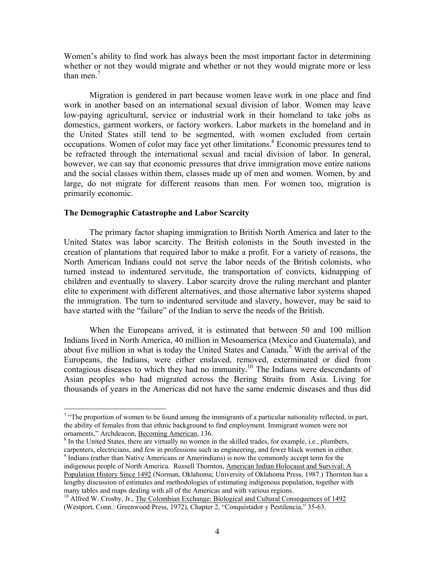Women's ability to find work has always been the most important factor in determining whether or not they would migrate and whether or not they would migrate more or less than men. $<sup>7</sup>$ </sup>

Migration is gendered in part because women leave work in one place and find work in another based on an international sexual division of labor. Women may leave low-paying agricultural, service or industrial work in their homeland to take jobs as domestics, garment workers, or factory workers. Labor markets in the homeland and in the United States still tend to be segmented, with women excluded from certain occupations. Women of color may face yet other limitations.<sup>8</sup> Economic pressures tend to be refracted through the international sexual and racial division of labor. In general, however, we can say that economic pressures that drive immigration move entire nations and the social classes within them, classes made up of men and women. Women, by and large, do not migrate for different reasons than men. For women too, migration is primarily economic.

### **The Demographic Catastrophe and Labor Scarcity**

 $\overline{a}$ 

 The primary factor shaping immigration to British North America and later to the United States was labor scarcity. The British colonists in the South invested in the creation of plantations that required labor to make a profit. For a variety of reasons, the North American Indians could not serve the labor needs of the British colonists, who turned instead to indentured servitude, the transportation of convicts, kidnapping of children and eventually to slavery. Labor scarcity drove the ruling merchant and planter elite to experiment with different alternatives, and those alternative labor systems shaped the immigration. The turn to indentured servitude and slavery, however, may be said to have started with the "failure" of the Indian to serve the needs of the British.

When the Europeans arrived, it is estimated that between 50 and 100 million Indians lived in North America, 40 million in Mesoamerica (Mexico and Guatemala), and about five million in what is today the United States and Canada.<sup>9</sup> With the arrival of the Europeans, the Indians, were either enslaved, removed, exterminated or died from contagious diseases to which they had no immunity.10 The Indians were descendants of Asian peoples who had migrated across the Bering Straits from Asia. Living for thousands of years in the Americas did not have the same endemic diseases and thus did

 $8$  In the United States, there are virtually no women in the skilled trades, for example, i.e., plumbers, carpenters, electricians, and few in professions such as engineering, and fewer black women in either. <sup>9</sup> Indians (rather than Native Americans or Amerindians) is now the commonly accept term for the

<sup>&</sup>lt;sup>7</sup> "The proportion of women to be found among the immigrants of a particular nationality reflected, in part, the ability of females from that ethnic background to find employment. Immigrant women were not ornaments," Archdeacon, Becoming American, 136.

indigenous people of North America. Russell Thornton, American Indian Holocaust and Survival: A Population History Since 1492 (Norman, Oklahoma; University of Oklahoma Press, 1987.) Thornton has a lengthy discussion of estimates and methodologies of estimating indigenous population, together with many tables and maps dealing with all of the Americas and with various regions.

<sup>&</sup>lt;sup>10</sup> Alfred W. Crosby, Jr., The Colombian Exchange: Biological and Cultural Consequences of 1492 (Westport, Conn.: Greenwood Press, 1972), Chapter 2, "Conquistador y Pestilencia," 35-63.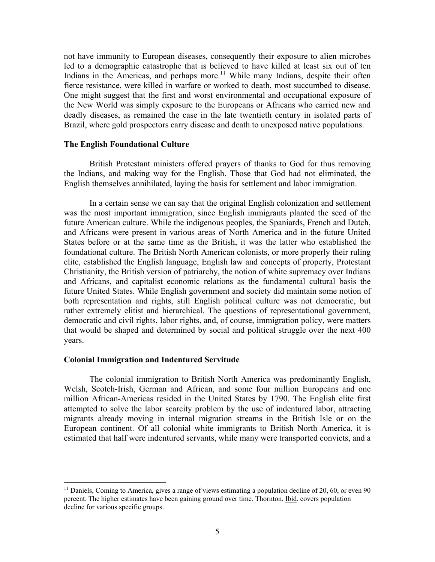not have immunity to European diseases, consequently their exposure to alien microbes led to a demographic catastrophe that is believed to have killed at least six out of ten Indians in the Americas, and perhaps more.<sup>11</sup> While many Indians, despite their often fierce resistance, were killed in warfare or worked to death, most succumbed to disease. One might suggest that the first and worst environmental and occupational exposure of the New World was simply exposure to the Europeans or Africans who carried new and deadly diseases, as remained the case in the late twentieth century in isolated parts of Brazil, where gold prospectors carry disease and death to unexposed native populations.

### **The English Foundational Culture**

British Protestant ministers offered prayers of thanks to God for thus removing the Indians, and making way for the English. Those that God had not eliminated, the English themselves annihilated, laying the basis for settlement and labor immigration.

In a certain sense we can say that the original English colonization and settlement was the most important immigration, since English immigrants planted the seed of the future American culture. While the indigenous peoples, the Spaniards, French and Dutch, and Africans were present in various areas of North America and in the future United States before or at the same time as the British, it was the latter who established the foundational culture. The British North American colonists, or more properly their ruling elite, established the English language, English law and concepts of property, Protestant Christianity, the British version of patriarchy, the notion of white supremacy over Indians and Africans, and capitalist economic relations as the fundamental cultural basis the future United States. While English government and society did maintain some notion of both representation and rights, still English political culture was not democratic, but rather extremely elitist and hierarchical. The questions of representational government, democratic and civil rights, labor rights, and, of course, immigration policy, were matters that would be shaped and determined by social and political struggle over the next 400 years.

#### **Colonial Immigration and Indentured Servitude**

1

The colonial immigration to British North America was predominantly English, Welsh, Scotch-Irish, German and African, and some four million Europeans and one million African-Americas resided in the United States by 1790. The English elite first attempted to solve the labor scarcity problem by the use of indentured labor, attracting migrants already moving in internal migration streams in the British Isle or on the European continent. Of all colonial white immigrants to British North America, it is estimated that half were indentured servants, while many were transported convicts, and a

 $11$  Daniels, Coming to America, gives a range of views estimating a population decline of 20, 60, or even 90 percent. The higher estimates have been gaining ground over time. Thornton, *Ibid.* covers population decline for various specific groups.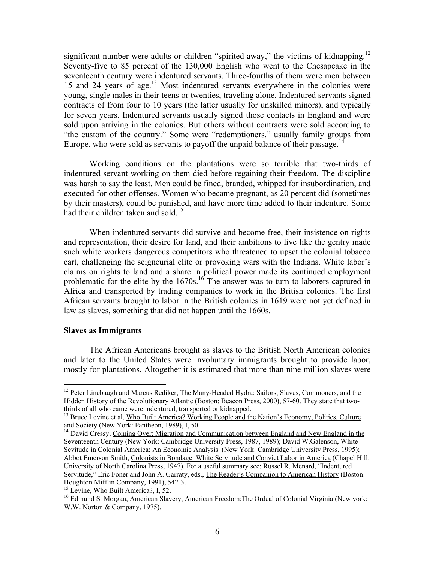significant number were adults or children "spirited away," the victims of kidnapping.<sup>12</sup> Seventy-five to 85 percent of the 130,000 English who went to the Chesapeake in the seventeenth century were indentured servants. Three-fourths of them were men between 15 and 24 years of age.<sup>13</sup> Most indentured servants everywhere in the colonies were young, single males in their teens or twenties, traveling alone. Indentured servants signed contracts of from four to 10 years (the latter usually for unskilled minors), and typically for seven years. Indentured servants usually signed those contacts in England and were sold upon arriving in the colonies. But others without contracts were sold according to "the custom of the country." Some were "redemptioners," usually family groups from Europe, who were sold as servants to payoff the unpaid balance of their passage.<sup>14</sup>

Working conditions on the plantations were so terrible that two-thirds of indentured servant working on them died before regaining their freedom. The discipline was harsh to say the least. Men could be fined, branded, whipped for insubordination, and executed for other offenses. Women who became pregnant, as 20 percent did (sometimes by their masters), could be punished, and have more time added to their indenture. Some had their children taken and sold.<sup>15</sup>

When indentured servants did survive and become free, their insistence on rights and representation, their desire for land, and their ambitions to live like the gentry made such white workers dangerous competitors who threatened to upset the colonial tobacco cart, challenging the seigneurial elite or provoking wars with the Indians. White labor's claims on rights to land and a share in political power made its continued employment problematic for the elite by the  $1670s$ .<sup>16</sup> The answer was to turn to laborers captured in Africa and transported by trading companies to work in the British colonies. The first African servants brought to labor in the British colonies in 1619 were not yet defined in law as slaves, something that did not happen until the 1660s.

### **Slaves as Immigrants**

 $\overline{a}$ 

 The African Americans brought as slaves to the British North American colonies and later to the United States were involuntary immigrants brought to provide labor, mostly for plantations. Altogether it is estimated that more than nine million slaves were

<sup>&</sup>lt;sup>12</sup> Peter Linebaugh and Marcus Rediker, The Many-Headed Hydra: Sailors, Slaves, Commoners, and the Hidden History of the Revolutionary Atlantic (Boston: Beacon Press, 2000), 57-60. They state that twothirds of all who came were indentured, transported or kidnapped.

<sup>&</sup>lt;sup>13</sup> Bruce Levine et al, <u>Who Built America? Working People and the Nation's Economy, Politics, Culture and Society (New York: Pantheon, 1989), I, 50.</u>

<sup>&</sup>lt;sup>14</sup> David Cressy, Coming Over: Migration and Communication between England and New England in the Seventeenth Century (New York: Cambridge University Press, 1987, 1989); David W.Galenson, White Sevitude in Colonial America: An Economic Analysis (New York: Cambridge University Press, 1995); Abbot Emerson Smith, Colonists in Bondage: White Servitude and Convict Labor in America (Chapel Hill: University of North Carolina Press, 1947). For a useful summary see: Russel R. Menard, "Indentured Servitude," Eric Foner and John A. Garraty, eds., The Reader's Companion to American History (Boston: Houghton Mifflin Company, 1991), 542-3.<br><sup>15</sup> Levine, Who Built America?, I, 52.

<sup>&</sup>lt;sup>16</sup> Edmund S. Morgan, American Slavery, American Freedom:The Ordeal of Colonial Virginia (New york: W.W. Norton & Company, 1975).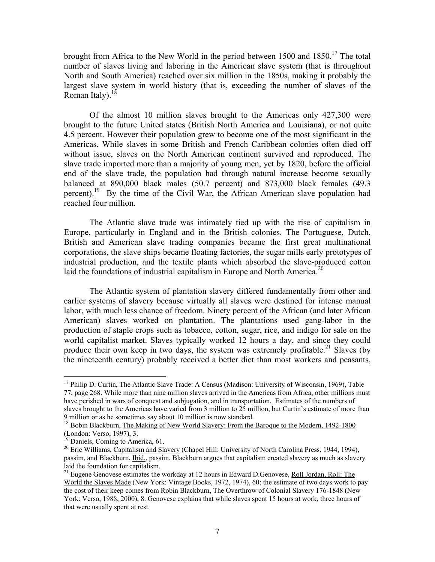brought from Africa to the New World in the period between 1500 and 1850.<sup>17</sup> The total number of slaves living and laboring in the American slave system (that is throughout North and South America) reached over six million in the 1850s, making it probably the largest slave system in world history (that is, exceeding the number of slaves of the Roman Italy). $^{18}$ 

Of the almost 10 million slaves brought to the Americas only 427,300 were brought to the future United states (British North America and Louisiana), or not quite 4.5 percent. However their population grew to become one of the most significant in the Americas. While slaves in some British and French Caribbean colonies often died off without issue, slaves on the North American continent survived and reproduced. The slave trade imported more than a majority of young men, yet by 1820, before the official end of the slave trade, the population had through natural increase become sexually balanced at 890,000 black males (50.7 percent) and 873,000 black females (49.3 percent).<sup>19</sup> By the time of the Civil War, the African American slave population had reached four million.

The Atlantic slave trade was intimately tied up with the rise of capitalism in Europe, particularly in England and in the British colonies. The Portuguese, Dutch, British and American slave trading companies became the first great multinational corporations, the slave ships became floating factories, the sugar mills early prototypes of industrial production, and the textile plants which absorbed the slave-produced cotton laid the foundations of industrial capitalism in Europe and North America.<sup>20</sup>

The Atlantic system of plantation slavery differed fundamentally from other and earlier systems of slavery because virtually all slaves were destined for intense manual labor, with much less chance of freedom. Ninety percent of the African (and later African American) slaves worked on plantation. The plantations used gang-labor in the production of staple crops such as tobacco, cotton, sugar, rice, and indigo for sale on the world capitalist market. Slaves typically worked 12 hours a day, and since they could produce their own keep in two days, the system was extremely profitable.<sup>21</sup> Slaves (by the nineteenth century) probably received a better diet than most workers and peasants,

<sup>&</sup>lt;sup>17</sup> Philip D. Curtin, The Atlantic Slave Trade: A Census (Madison: University of Wisconsin, 1969), Table 77, page 268. While more than nine million slaves arrived in the Americas from Africa, other millions must have perished in wars of conquest and subjugation, and in transportation. Estimates of the numbers of slaves brought to the Americas have varied from 3 million to 25 million, but Curtin's estimate of more than 9 million or as he sometimes say about 10 million is now standard.

<sup>&</sup>lt;sup>18</sup> Bobin Blackburn, The Making of New World Slavery: From the Baroque to the Modern, 1492-1800 (London: Verso, 1997), 3.<br><sup>19</sup> Daniels, Coming to America, 61.

<sup>&</sup>lt;sup>20</sup> Eric Williams, Capitalism and Slavery (Chapel Hill: University of North Carolina Press, 1944, 1994), passim, and Blackburn, Ibid., passim. Blackburn argues that capitalism created slavery as much as slavery laid the foundation for capitalism.

<sup>&</sup>lt;sup>21</sup> Eugene Genovese estimates the workday at 12 hours in Edward D.Genovese, Roll Jordan, Roll: The World the Slaves Made (New York: Vintage Books, 1972, 1974), 60; the estimate of two days work to pay the cost of their keep comes from Robin Blackburn, The Overthrow of Colonial Slavery 176-1848 (New York: Verso, 1988, 2000), 8. Genovese explains that while slaves spent 15 hours at work, three hours of that were usually spent at rest.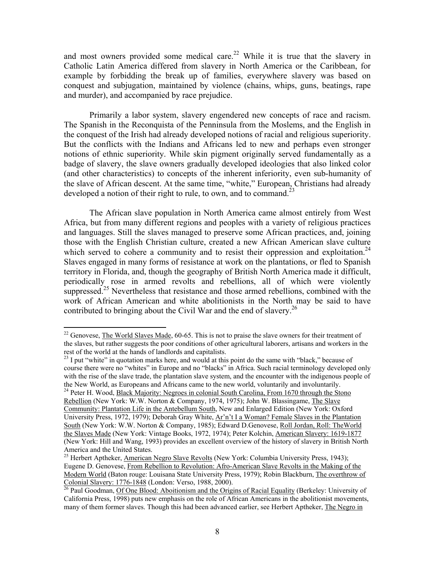and most owners provided some medical care.<sup>22</sup> While it is true that the slavery in Catholic Latin America differed from slavery in North America or the Caribbean, for example by forbidding the break up of families, everywhere slavery was based on conquest and subjugation, maintained by violence (chains, whips, guns, beatings, rape and murder), and accompanied by race prejudice.

Primarily a labor system, slavery engendered new concepts of race and racism. The Spanish in the Reconquista of the Penninsula from the Moslems, and the English in the conquest of the Irish had already developed notions of racial and religious superiority. But the conflicts with the Indians and Africans led to new and perhaps even stronger notions of ethnic superiority. While skin pigment originally served fundamentally as a badge of slavery, the slave owners gradually developed ideologies that also linked color (and other characteristics) to concepts of the inherent inferiority, even sub-humanity of the slave of African descent. At the same time, "white," European, Christians had already developed a notion of their right to rule, to own, and to command.<sup>23</sup>

The African slave population in North America came almost entirely from West Africa, but from many different regions and peoples with a variety of religious practices and languages. Still the slaves managed to preserve some African practices, and, joining those with the English Christian culture, created a new African American slave culture which served to cohere a community and to resist their oppression and exploitation.<sup>24</sup> Slaves engaged in many forms of resistance at work on the plantations, or fled to Spanish territory in Florida, and, though the geography of British North America made it difficult, periodically rose in armed revolts and rebellions, all of which were violently suppressed.<sup>25</sup> Nevertheless that resistance and those armed rebellions, combined with the work of African American and white abolitionists in the North may be said to have contributed to bringing about the Civil War and the end of slavery.<sup>26</sup>

 $22$  Genovese, The World Slaves Made, 60-65. This is not to praise the slave owners for their treatment of the slaves, but rather suggests the poor conditions of other agricultural laborers, artisans and workers in the rest of the world at the hands of landlords and capitalists.

 $^{23}$  I put "white" in quotation marks here, and would at this point do the same with "black," because of course there were no "whites" in Europe and no "blacks" in Africa. Such racial terminology developed only with the rise of the slave trade, the plantation slave system, and the encounter with the indigenous people of the New World, as Europeans and Africans came to the new world, voluntarily and involuntarily. <sup>24</sup> Peter H. Wood, Black Majority: Negroes in colonial South Carolina, From 1670 through the Stono

Rebellion (New York: W.W. Norton & Company, 1974, 1975); John W. Blassingame, The Slave Community: Plantation Life in the Antebellum South, New and Enlarged Edition (New York: Oxford University Press, 1972, 1979); Deborah Gray White, Ar'n't I a Woman? Female Slaves in the Plantation South (New York: W.W. Norton & Company, 1985); Edward D.Genovese, Roll Jordan, Roll: TheWorld the Slaves Made (New York: Vintage Books, 1972, 1974); Peter Kolchin, American Slavery: 1619-1877 (New York: Hill and Wang, 1993) provides an excellent overview of the history of slavery in British North America and the United States.

<sup>&</sup>lt;sup>25</sup> Herbert Aptheker, American Negro Slave Revolts (New York: Columbia University Press, 1943); Eugene D. Genovese, From Rebellion to Revolution: Afro-American Slave Revolts in the Making of the Modern World (Baton rouge: Louisana State University Press, 1979); Robin Blackburn, The overthrow of Colonial Slavery: 1776-1848 (London: Verso, 1988, 2000).<br><sup>26</sup> Paul Goodman, <u>Of One Blood: Aboitionism and the Origins of Racial Equality</u> (Berkeley: University of

California Press, 1998) puts new emphasis on the role of African Americans in the abolitionist movements, many of them former slaves. Though this had been advanced earlier, see Herbert Aptheker, The Negro in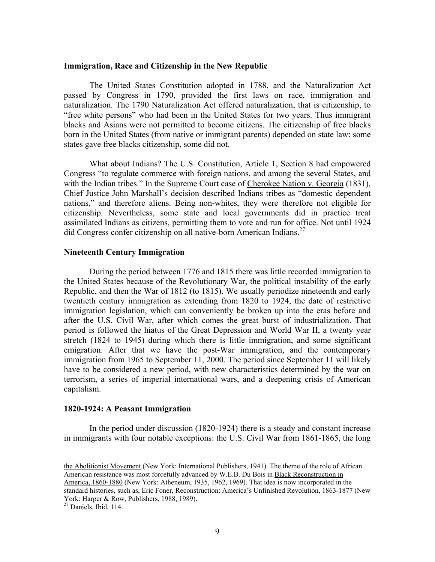#### **Immigration, Race and Citizenship in the New Republic**

 The United States Constitution adopted in 1788, and the Naturalization Act passed by Congress in 1790, provided the first laws on race, immigration and naturalization. The 1790 Naturalization Act offered naturalization, that is citizenship, to "free white persons" who had been in the United States for two years. Thus immigrant blacks and Asians were not permitted to become citizens. The citizenship of free blacks born in the United States (from native or immigrant parents) depended on state law: some states gave free blacks citizenship, some did not.

 What about Indians? The U.S. Constitution, Article 1, Section 8 had empowered Congress "to regulate commerce with foreign nations, and among the several States, and with the Indian tribes." In the Supreme Court case of Cherokee Nation v. Georgia (1831), Chief Justice John Marshall's decision described Indians tribes as "domestic dependent nations," and therefore aliens. Being non-whites, they were therefore not eligible for citizenship. Nevertheless, some state and local governments did in practice treat assimilated Indians as citizens, permitting them to vote and run for office. Not until 1924 did Congress confer citizenship on all native-born American Indians.<sup>27</sup>

#### **Nineteenth Century Immigration**

 During the period between 1776 and 1815 there was little recorded immigration to the United States because of the Revolutionary War, the political instability of the early Republic, and then the War of 1812 (to 1815). We usually periodize nineteenth and early twentieth century immigration as extending from 1820 to 1924, the date of restrictive immigration legislation, which can conveniently be broken up into the eras before and after the U.S. Civil War, after which comes the great burst of industrialization. That period is followed the hiatus of the Great Depression and World War II, a twenty year stretch (1824 to 1945) during which there is little immigration, and some significant emigration. After that we have the post-War immigration, and the contemporary immigration from 1965 to September 11, 2000. The period since September 11 will likely have to be considered a new period, with new characteristics determined by the war on terrorism, a series of imperial international wars, and a deepening crisis of American capitalism.

#### **1820-1924: A Peasant Immigration**

In the period under discussion (1820-1924) there is a steady and constant increase in immigrants with four notable exceptions: the U.S. Civil War from 1861-1865, the long

the Abolitionist Movement (New York: International Publishers, 1941). The theme of the role of African American resistance was most forcefully advanced by W.E.B. Du Bois in Black Reconstruction in America, 1860-1880 (New York: Atheneum, 1935, 1962, 1969). That idea is now incorporated in the standard histories, such as, Eric Foner, Reconstruction: America's Unfinished Revolution, 1863-1877 (New York: Harper & Row, Publishers, 1988, 1989).

 $27$  Daniels, Ibid, 114.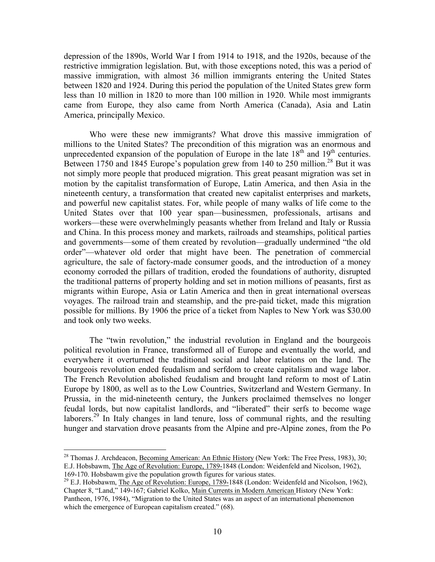depression of the 1890s, World War I from 1914 to 1918, and the 1920s, because of the restrictive immigration legislation. But, with those exceptions noted, this was a period of massive immigration, with almost 36 million immigrants entering the United States between 1820 and 1924. During this period the population of the United States grew form less than 10 million in 1820 to more than 100 million in 1920. While most immigrants came from Europe, they also came from North America (Canada), Asia and Latin America, principally Mexico.

 Who were these new immigrants? What drove this massive immigration of millions to the United States? The precondition of this migration was an enormous and unprecedented expansion of the population of Europe in the late  $18<sup>th</sup>$  and  $19<sup>th</sup>$  centuries. Between 1750 and 1845 Europe's population grew from 140 to 250 million.<sup>28</sup> But it was not simply more people that produced migration. This great peasant migration was set in motion by the capitalist transformation of Europe, Latin America, and then Asia in the nineteenth century, a transformation that created new capitalist enterprises and markets, and powerful new capitalist states. For, while people of many walks of life come to the United States over that 100 year span—businessmen, professionals, artisans and workers—these were overwhelmingly peasants whether from Ireland and Italy or Russia and China. In this process money and markets, railroads and steamships, political parties and governments—some of them created by revolution—gradually undermined "the old order"—whatever old order that might have been. The penetration of commercial agriculture, the sale of factory-made consumer goods, and the introduction of a money economy corroded the pillars of tradition, eroded the foundations of authority, disrupted the traditional patterns of property holding and set in motion millions of peasants, first as migrants within Europe, Asia or Latin America and then in great international overseas voyages. The railroad train and steamship, and the pre-paid ticket, made this migration possible for millions. By 1906 the price of a ticket from Naples to New York was \$30.00 and took only two weeks.

The "twin revolution," the industrial revolution in England and the bourgeois political revolution in France, transformed all of Europe and eventually the world, and everywhere it overturned the traditional social and labor relations on the land. The bourgeois revolution ended feudalism and serfdom to create capitalism and wage labor. The French Revolution abolished feudalism and brought land reform to most of Latin Europe by 1800, as well as to the Low Countries, Switzerland and Western Germany. In Prussia, in the mid-nineteenth century, the Junkers proclaimed themselves no longer feudal lords, but now capitalist landlords, and "liberated" their serfs to become wage laborers.<sup>29</sup> In Italy changes in land tenure, loss of communal rights, and the resulting hunger and starvation drove peasants from the Alpine and pre-Alpine zones, from the Po

<sup>&</sup>lt;sup>28</sup> Thomas J. Archdeacon, <u>Becoming American: An Ethnic History</u> (New York: The Free Press, 1983), 30; E.J. Hobsbawm, The Age of Revolution: Europe, 1789-1848 (London: Weidenfeld and Nicolson, 1962), 169-170. Hobsbawm give the population growth figures for various states.

<sup>&</sup>lt;sup>29</sup> E.J. Hobsbawm, <u>The Age of Revolution: Europe, 1789-</u>1848 (London: Weidenfeld and Nicolson, 1962), Chapter 8, "Land," 149-167; Gabriel Kolko, Main Currents in Modern American History (New York: Pantheon, 1976, 1984), "Migration to the United States was an aspect of an international phenomenon which the emergence of European capitalism created." (68).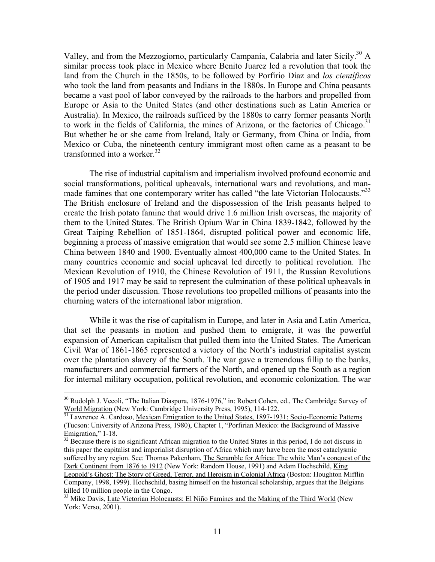Valley, and from the Mezzogiorno, particularly Campania, Calabria and later Sicily.30 A similar process took place in Mexico where Benito Juarez led a revolution that took the land from the Church in the 1850s, to be followed by Porfirio Díaz and *los científicos* who took the land from peasants and Indians in the 1880s. In Europe and China peasants became a vast pool of labor conveyed by the railroads to the harbors and propelled from Europe or Asia to the United States (and other destinations such as Latin America or Australia). In Mexico, the railroads sufficed by the 1880s to carry former peasants North to work in the fields of California, the mines of Arizona, or the factories of Chicago.<sup>31</sup> But whether he or she came from Ireland, Italy or Germany, from China or India, from Mexico or Cuba, the nineteenth century immigrant most often came as a peasant to be transformed into a worker. $32$ 

 The rise of industrial capitalism and imperialism involved profound economic and social transformations, political upheavals, international wars and revolutions, and manmade famines that one contemporary writer has called "the late Victorian Holocausts."<sup>33</sup> The British enclosure of Ireland and the dispossession of the Irish peasants helped to create the Irish potato famine that would drive 1.6 million Irish overseas, the majority of them to the United States. The British Opium War in China 1839-1842, followed by the Great Taiping Rebellion of 1851-1864, disrupted political power and economic life, beginning a process of massive emigration that would see some 2.5 million Chinese leave China between 1840 and 1900. Eventually almost 400,000 came to the United States. In many countries economic and social upheaval led directly to political revolution. The Mexican Revolution of 1910, the Chinese Revolution of 1911, the Russian Revolutions of 1905 and 1917 may be said to represent the culmination of these political upheavals in the period under discussion. Those revolutions too propelled millions of peasants into the churning waters of the international labor migration.

 While it was the rise of capitalism in Europe, and later in Asia and Latin America, that set the peasants in motion and pushed them to emigrate, it was the powerful expansion of American capitalism that pulled them into the United States. The American Civil War of 1861-1865 represented a victory of the North's industrial capitalist system over the plantation slavery of the South. The war gave a tremendous fillip to the banks, manufacturers and commercial farmers of the North, and opened up the South as a region for internal military occupation, political revolution, and economic colonization. The war

<sup>&</sup>lt;sup>30</sup> Rudolph J. Vecoli, "The Italian Diaspora, 1876-1976," in: Robert Cohen, ed., The Cambridge Survey of World Migration (New York: Cambridge University Press, 1995), 114-122.<br><sup>31</sup> Lawrence A. Cardoso, <u>Mexican Emigration to the United States, 1897-1931: Socio-Economic Patterns</u>

<sup>(</sup>Tucson: University of Arizona Press, 1980), Chapter 1, "Porfirian Mexico: the Background of Massive Emigration," 1-18.

<sup>&</sup>lt;sup>32</sup> Because there is no significant African migration to the United States in this period, I do not discuss in this paper the capitalist and imperialist disruption of Africa which may have been the most cataclysmic suffered by any region. See: Thomas Pakenham, The Scramble for Africa: The white Man's conquest of the Dark Continent from 1876 to 1912 (New York: Random House, 1991) and Adam Hochschild, King Leopold's Ghost: The Story of Greed, Terror, and Heroism in Colonial Africa (Boston: Houghton Mifflin Company, 1998, 1999). Hochschild, basing himself on the historical scholarship, argues that the Belgians killed 10 million people in the Congo.

<sup>&</sup>lt;sup>33</sup> Mike Davis, Late Victorian Holocausts: El Niño Famines and the Making of the Third World (New York: Verso, 2001).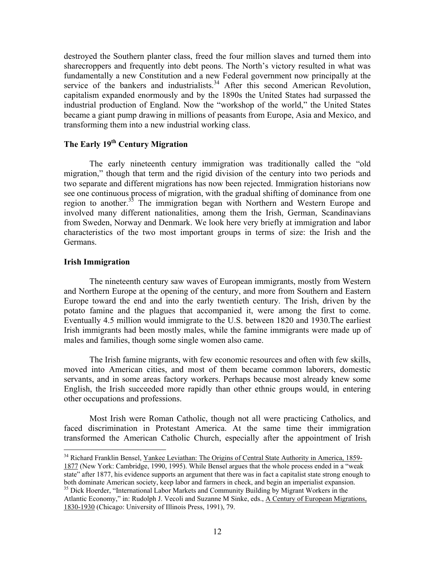destroyed the Southern planter class, freed the four million slaves and turned them into sharecroppers and frequently into debt peons. The North's victory resulted in what was fundamentally a new Constitution and a new Federal government now principally at the service of the bankers and industrialists.<sup>34</sup> After this second American Revolution, capitalism expanded enormously and by the 1890s the United States had surpassed the industrial production of England. Now the "workshop of the world," the United States became a giant pump drawing in millions of peasants from Europe, Asia and Mexico, and transforming them into a new industrial working class.

# **The Early 19th Century Migration**

 The early nineteenth century immigration was traditionally called the "old migration," though that term and the rigid division of the century into two periods and two separate and different migrations has now been rejected. Immigration historians now see one continuous process of migration, with the gradual shifting of dominance from one region to another.35 The immigration began with Northern and Western Europe and involved many different nationalities, among them the Irish, German, Scandinavians from Sweden, Norway and Denmark. We look here very briefly at immigration and labor characteristics of the two most important groups in terms of size: the Irish and the Germans.

# **Irish Immigration**

 $\overline{a}$ 

 The nineteenth century saw waves of European immigrants, mostly from Western and Northern Europe at the opening of the century, and more from Southern and Eastern Europe toward the end and into the early twentieth century. The Irish, driven by the potato famine and the plagues that accompanied it, were among the first to come. Eventually 4.5 million would immigrate to the U.S. between 1820 and 1930.The earliest Irish immigrants had been mostly males, while the famine immigrants were made up of males and families, though some single women also came.

The Irish famine migrants, with few economic resources and often with few skills, moved into American cities, and most of them became common laborers, domestic servants, and in some areas factory workers. Perhaps because most already knew some English, the Irish succeeded more rapidly than other ethnic groups would, in entering other occupations and professions.

Most Irish were Roman Catholic, though not all were practicing Catholics, and faced discrimination in Protestant America. At the same time their immigration transformed the American Catholic Church, especially after the appointment of Irish

<sup>&</sup>lt;sup>34</sup> Richard Franklin Bensel, Yankee Leviathan: The Origins of Central State Authority in America, 1859-1877 (New York: Cambridge, 1990, 1995). While Bensel argues that the whole process ended in a "weak state" after 1877, his evidence supports an argument that there was in fact a capitalist state strong enough to both dominate American society, keep labor and farmers in check, and begin an imperialist expansion.

<sup>&</sup>lt;sup>35</sup> Dick Hoerder, "International Labor Markets and Community Building by Migrant Workers in the Atlantic Economy," in: Rudolph J. Vecoli and Suzanne M Sinke, eds., A Century of European Migrations, 1830-1930 (Chicago: University of Illinois Press, 1991), 79.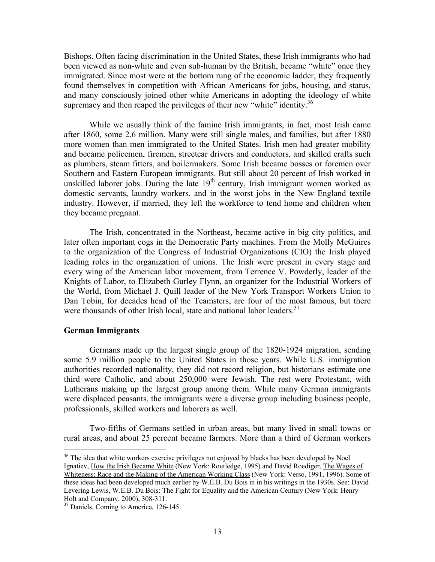Bishops. Often facing discrimination in the United States, these Irish immigrants who had been viewed as non-white and even sub-human by the British, became "white" once they immigrated. Since most were at the bottom rung of the economic ladder, they frequently found themselves in competition with African Americans for jobs, housing, and status, and many consciously joined other white Americans in adopting the ideology of white supremacy and then reaped the privileges of their new "white" identity.<sup>36</sup>

While we usually think of the famine Irish immigrants, in fact, most Irish came after 1860, some 2.6 million. Many were still single males, and families, but after 1880 more women than men immigrated to the United States. Irish men had greater mobility and became policemen, firemen, streetcar drivers and conductors, and skilled crafts such as plumbers, steam fitters, and boilermakers. Some Irish became bosses or foremen over Southern and Eastern European immigrants. But still about 20 percent of Irish worked in unskilled laborer jobs. During the late  $19<sup>th</sup>$  century, Irish immigrant women worked as domestic servants, laundry workers, and in the worst jobs in the New England textile industry. However, if married, they left the workforce to tend home and children when they became pregnant.

The Irish, concentrated in the Northeast, became active in big city politics, and later often important cogs in the Democratic Party machines. From the Molly McGuires to the organization of the Congress of Industrial Organizations (CIO) the Irish played leading roles in the organization of unions. The Irish were present in every stage and every wing of the American labor movement, from Terrence V. Powderly, leader of the Knights of Labor, to Elizabeth Gurley Flynn, an organizer for the Industrial Workers of the World, from Michael J. Quill leader of the New York Transport Workers Union to Dan Tobin, for decades head of the Teamsters, are four of the most famous, but there were thousands of other Irish local, state and national labor leaders.<sup>37</sup>

# **German Immigrants**

 $\overline{a}$ 

 Germans made up the largest single group of the 1820-1924 migration, sending some 5.9 million people to the United States in those years. While U.S. immigration authorities recorded nationality, they did not record religion, but historians estimate one third were Catholic, and about 250,000 were Jewish. The rest were Protestant, with Lutherans making up the largest group among them. While many German immigrants were displaced peasants, the immigrants were a diverse group including business people, professionals, skilled workers and laborers as well.

 Two-fifths of Germans settled in urban areas, but many lived in small towns or rural areas, and about 25 percent became farmers. More than a third of German workers

 $36$  The idea that white workers exercise privileges not enjoyed by blacks has been developed by Noel Ignatiev, How the Irish Became White (New York: Routledge, 1995) and David Roediger, The Wages of Whiteness: Race and the Making of the American Working Class (New York: Verso, 1991, 1996). Some of these ideas had been developed much earlier by W.E.B. Du Bois in in his writings in the 1930s. See: David Levering Lewis, W.E.B. Du Bois: The Fight for Equality and the American Century (New York: Henry Holt and Company, 2000), 308-311.

<sup>&</sup>lt;sup>37</sup> Daniels, Coming to America, 126-145.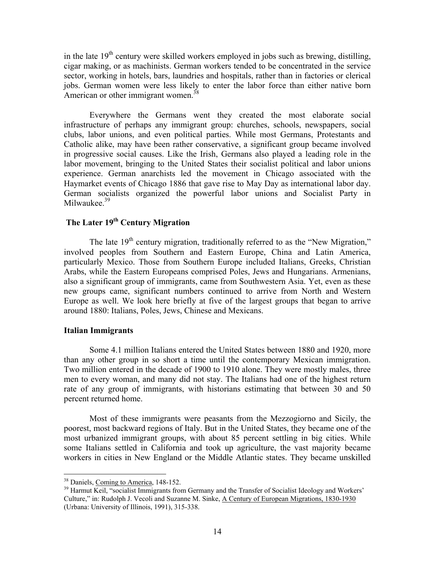in the late  $19<sup>th</sup>$  century were skilled workers employed in jobs such as brewing, distilling, cigar making, or as machinists. German workers tended to be concentrated in the service sector, working in hotels, bars, laundries and hospitals, rather than in factories or clerical jobs. German women were less likely to enter the labor force than either native born American or other immigrant women.<sup>38</sup>

 Everywhere the Germans went they created the most elaborate social infrastructure of perhaps any immigrant group: churches, schools, newspapers, social clubs, labor unions, and even political parties. While most Germans, Protestants and Catholic alike, may have been rather conservative, a significant group became involved in progressive social causes. Like the Irish, Germans also played a leading role in the labor movement, bringing to the United States their socialist political and labor unions experience. German anarchists led the movement in Chicago associated with the Haymarket events of Chicago 1886 that gave rise to May Day as international labor day. German socialists organized the powerful labor unions and Socialist Party in Milwaukee.<sup>39</sup>

# **The Later 19th Century Migration**

The late  $19<sup>th</sup>$  century migration, traditionally referred to as the "New Migration," involved peoples from Southern and Eastern Europe, China and Latin America, particularly Mexico. Those from Southern Europe included Italians, Greeks, Christian Arabs, while the Eastern Europeans comprised Poles, Jews and Hungarians. Armenians, also a significant group of immigrants, came from Southwestern Asia. Yet, even as these new groups came, significant numbers continued to arrive from North and Western Europe as well. We look here briefly at five of the largest groups that began to arrive around 1880: Italians, Poles, Jews, Chinese and Mexicans.

### **Italian Immigrants**

 Some 4.1 million Italians entered the United States between 1880 and 1920, more than any other group in so short a time until the contemporary Mexican immigration. Two million entered in the decade of 1900 to 1910 alone. They were mostly males, three men to every woman, and many did not stay. The Italians had one of the highest return rate of any group of immigrants, with historians estimating that between 30 and 50 percent returned home.

 Most of these immigrants were peasants from the Mezzogiorno and Sicily, the poorest, most backward regions of Italy. But in the United States, they became one of the most urbanized immigrant groups, with about 85 percent settling in big cities. While some Italians settled in California and took up agriculture, the vast majority became workers in cities in New England or the Middle Atlantic states. They became unskilled

<sup>&</sup>lt;sup>38</sup> Daniels, Coming to America, 148-152.

<sup>&</sup>lt;sup>39</sup> Harmut Keil, "socialist Immigrants from Germany and the Transfer of Socialist Ideology and Workers' Culture," in: Rudolph J. Vecoli and Suzanne M. Sinke, A Century of European Migrations, 1830-1930 (Urbana: University of Illinois, 1991), 315-338.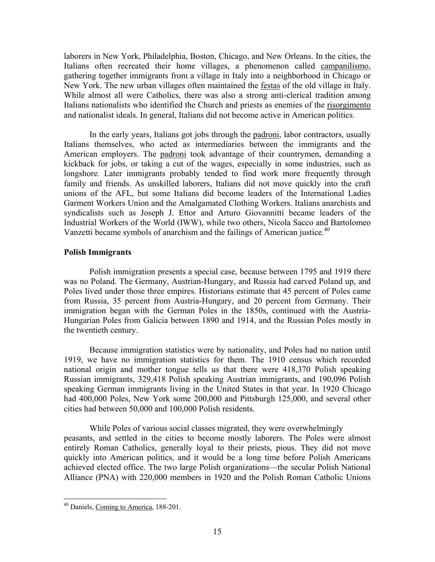laborers in New York, Philadelphia, Boston, Chicago, and New Orleans. In the cities, the Italians often recreated their home villages, a phenomenon called campanilismo, gathering together immigrants from a village in Italy into a neighborhood in Chicago or New York. The new urban villages often maintained the festas of the old village in Italy. While almost all were Catholics, there was also a strong anti-clerical tradition among Italians nationalists who identified the Church and priests as enemies of the risorgimento and nationalist ideals. In general, Italians did not become active in American politics.

 In the early years, Italians got jobs through the padroni, labor contractors, usually Italians themselves, who acted as intermediaries between the immigrants and the American employers. The padroni took advantage of their countrymen, demanding a kickback for jobs, or taking a cut of the wages, especially in some industries, such as longshore. Later immigrants probably tended to find work more frequently through family and friends. As unskilled laborers, Italians did not move quickly into the craft unions of the AFL, but some Italians did become leaders of the International Ladies Garment Workers Union and the Amalgamated Clothing Workers. Italians anarchists and syndicalists such as Joseph J. Ettor and Arturo Giovannitti became leaders of the Industrial Workers of the World (IWW), while two others, Nicola Sacco and Bartolomeo Vanzetti became symbols of anarchism and the failings of American justice.<sup>40</sup>

# **Polish Immigrants**

 Polish immigration presents a special case, because between 1795 and 1919 there was no Poland. The Germany, Austrian-Hungary, and Russia had carved Poland up, and Poles lived under those three empires. Historians estimate that 45 percent of Poles came from Russia, 35 percent from Austria-Hungary, and 20 percent from Germany. Their immigration began with the German Poles in the 1850s, continued with the Austria-Hungarian Poles from Galicia between 1890 and 1914, and the Russian Poles mostly in the twentieth century.

 Because immigration statistics were by nationality, and Poles had no nation until 1919, we have no immigration statistics for them. The 1910 census which recorded national origin and mother tongue tells us that there were 418,370 Polish speaking Russian immigrants, 329,418 Polish speaking Austrian immigrants, and 190,096 Polish speaking German immigrants living in the United States in that year. In 1920 Chicago had 400,000 Poles, New York some 200,000 and Pittsburgh 125,000, and several other cities had between 50,000 and 100,000 Polish residents.

 While Poles of various social classes migrated, they were overwhelmingly peasants, and settled in the cities to become mostly laborers. The Poles were almost entirely Roman Catholics, generally loyal to their priests, pious. They did not move quickly into American politics, and it would be a long time before Polish Americans achieved elected office. The two large Polish organizations—the secular Polish National Alliance (PNA) with 220,000 members in 1920 and the Polish Roman Catholic Unions

<sup>40</sup> Daniels, Coming to America, 188-201.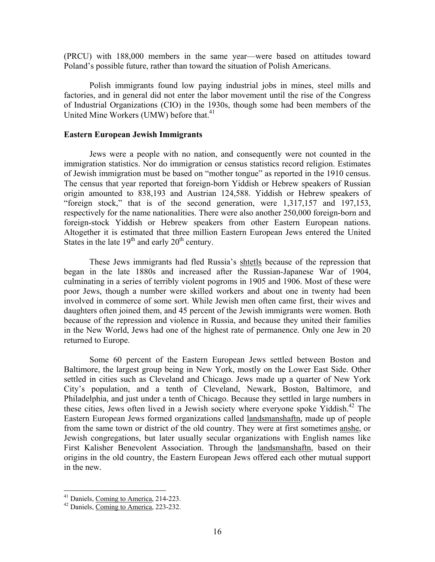(PRCU) with 188,000 members in the same year—were based on attitudes toward Poland's possible future, rather than toward the situation of Polish Americans.

Polish immigrants found low paying industrial jobs in mines, steel mills and factories, and in general did not enter the labor movement until the rise of the Congress of Industrial Organizations (CIO) in the 1930s, though some had been members of the United Mine Workers (UMW) before that.<sup>41</sup>

# **Eastern European Jewish Immigrants**

 Jews were a people with no nation, and consequently were not counted in the immigration statistics. Nor do immigration or census statistics record religion. Estimates of Jewish immigration must be based on "mother tongue" as reported in the 1910 census. The census that year reported that foreign-born Yiddish or Hebrew speakers of Russian origin amounted to 838,193 and Austrian 124,588. Yiddish or Hebrew speakers of "foreign stock," that is of the second generation, were 1,317,157 and 197,153, respectively for the name nationalities. There were also another 250,000 foreign-born and foreign-stock Yiddish or Hebrew speakers from other Eastern European nations. Altogether it is estimated that three million Eastern European Jews entered the United States in the late  $19<sup>th</sup>$  and early  $20<sup>th</sup>$  century.

 These Jews immigrants had fled Russia's shtetls because of the repression that began in the late 1880s and increased after the Russian-Japanese War of 1904, culminating in a series of terribly violent pogroms in 1905 and 1906. Most of these were poor Jews, though a number were skilled workers and about one in twenty had been involved in commerce of some sort. While Jewish men often came first, their wives and daughters often joined them, and 45 percent of the Jewish immigrants were women. Both because of the repression and violence in Russia, and because they united their families in the New World, Jews had one of the highest rate of permanence. Only one Jew in 20 returned to Europe.

 Some 60 percent of the Eastern European Jews settled between Boston and Baltimore, the largest group being in New York, mostly on the Lower East Side. Other settled in cities such as Cleveland and Chicago. Jews made up a quarter of New York City's population, and a tenth of Cleveland, Newark, Boston, Baltimore, and Philadelphia, and just under a tenth of Chicago. Because they settled in large numbers in these cities, Jews often lived in a Jewish society where everyone spoke Yiddish.<sup>42</sup> The Eastern European Jews formed organizations called landsmanshaftn, made up of people from the same town or district of the old country. They were at first sometimes anshe, or Jewish congregations, but later usually secular organizations with English names like First Kalisher Benevolent Association. Through the landsmanshaftn, based on their origins in the old country, the Eastern European Jews offered each other mutual support in the new.

<sup>&</sup>lt;sup>41</sup> Daniels, Coming to America, 214-223.<br><sup>42</sup> Daniels, Coming to America, 223-232.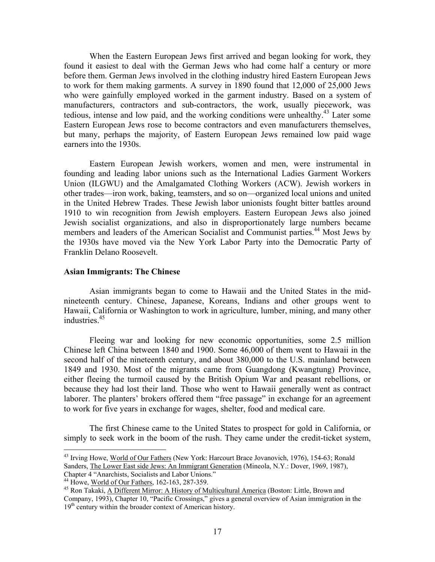When the Eastern European Jews first arrived and began looking for work, they found it easiest to deal with the German Jews who had come half a century or more before them. German Jews involved in the clothing industry hired Eastern European Jews to work for them making garments. A survey in 1890 found that 12,000 of 25,000 Jews who were gainfully employed worked in the garment industry. Based on a system of manufacturers, contractors and sub-contractors, the work, usually piecework, was tedious, intense and low paid, and the working conditions were unhealthy.<sup>43</sup> Later some Eastern European Jews rose to become contractors and even manufacturers themselves, but many, perhaps the majority, of Eastern European Jews remained low paid wage earners into the 1930s.

 Eastern European Jewish workers, women and men, were instrumental in founding and leading labor unions such as the International Ladies Garment Workers Union (ILGWU) and the Amalgamated Clothing Workers (ACW). Jewish workers in other trades—iron work, baking, teamsters, and so on—organized local unions and united in the United Hebrew Trades. These Jewish labor unionists fought bitter battles around 1910 to win recognition from Jewish employers. Eastern European Jews also joined Jewish socialist organizations, and also in disproportionately large numbers became members and leaders of the American Socialist and Communist parties.<sup>44</sup> Most Jews by the 1930s have moved via the New York Labor Party into the Democratic Party of Franklin Delano Roosevelt.

#### **Asian Immigrants: The Chinese**

 Asian immigrants began to come to Hawaii and the United States in the midnineteenth century. Chinese, Japanese, Koreans, Indians and other groups went to Hawaii, California or Washington to work in agriculture, lumber, mining, and many other industries.45

Fleeing war and looking for new economic opportunities, some 2.5 million Chinese left China between 1840 and 1900. Some 46,000 of them went to Hawaii in the second half of the nineteenth century, and about 380,000 to the U.S. mainland between 1849 and 1930. Most of the migrants came from Guangdong (Kwangtung) Province, either fleeing the turmoil caused by the British Opium War and peasant rebellions, or because they had lost their land. Those who went to Hawaii generally went as contract laborer. The planters' brokers offered them "free passage" in exchange for an agreement to work for five years in exchange for wages, shelter, food and medical care.

The first Chinese came to the United States to prospect for gold in California, or simply to seek work in the boom of the rush. They came under the credit-ticket system,

<sup>&</sup>lt;sup>43</sup> Irving Howe, World of Our Fathers (New York: Harcourt Brace Jovanovich, 1976), 154-63; Ronald Sanders, The Lower East side Jews: An Immigrant Generation (Mineola, N.Y.: Dover, 1969, 1987), Chapter 4 "Anarchists, Socialists and Labor Unions."<br><sup>44</sup> Howe, <u>World of Our Fathers</u>, 162-163, 287-359.

<sup>&</sup>lt;sup>45</sup> Ron Takaki, <u>A Different Mirror: A History of Multicultural America</u> (Boston: Little, Brown and Company, 1993), Chapter 10, "Pacific Crossings," gives a general overview of Asian immigration in the 19<sup>th</sup> century within the broader context of American history.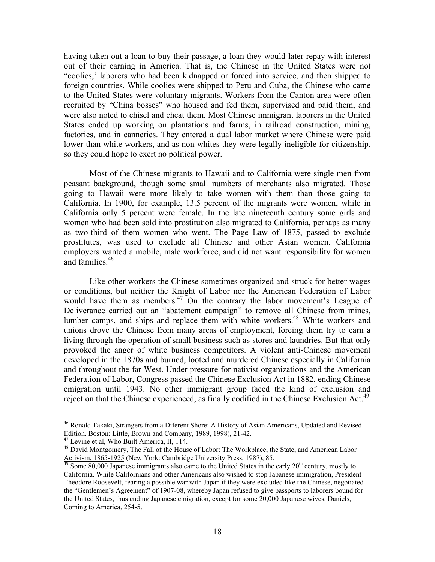having taken out a loan to buy their passage, a loan they would later repay with interest out of their earning in America. That is, the Chinese in the United States were not "coolies,' laborers who had been kidnapped or forced into service, and then shipped to foreign countries. While coolies were shipped to Peru and Cuba, the Chinese who came to the United States were voluntary migrants. Workers from the Canton area were often recruited by "China bosses" who housed and fed them, supervised and paid them, and were also noted to chisel and cheat them. Most Chinese immigrant laborers in the United States ended up working on plantations and farms, in railroad construction, mining, factories, and in canneries. They entered a dual labor market where Chinese were paid lower than white workers, and as non-whites they were legally ineligible for citizenship, so they could hope to exert no political power.

Most of the Chinese migrants to Hawaii and to California were single men from peasant background, though some small numbers of merchants also migrated. Those going to Hawaii were more likely to take women with them than those going to California. In 1900, for example, 13.5 percent of the migrants were women, while in California only 5 percent were female. In the late nineteenth century some girls and women who had been sold into prostitution also migrated to California, perhaps as many as two-third of them women who went. The Page Law of 1875, passed to exclude prostitutes, was used to exclude all Chinese and other Asian women. California employers wanted a mobile, male workforce, and did not want responsibility for women and families.<sup>46</sup>

Like other workers the Chinese sometimes organized and struck for better wages or conditions, but neither the Knight of Labor nor the American Federation of Labor would have them as members.<sup>47</sup> On the contrary the labor movement's League of Deliverance carried out an "abatement campaign" to remove all Chinese from mines, lumber camps, and ships and replace them with white workers.<sup>48</sup> White workers and unions drove the Chinese from many areas of employment, forcing them try to earn a living through the operation of small business such as stores and laundries. But that only provoked the anger of white business competitors. A violent anti-Chinese movement developed in the 1870s and burned, looted and murdered Chinese especially in California and throughout the far West. Under pressure for nativist organizations and the American Federation of Labor, Congress passed the Chinese Exclusion Act in 1882, ending Chinese emigration until 1943. No other immigrant group faced the kind of exclusion and rejection that the Chinese experienced, as finally codified in the Chinese Exclusion Act.<sup>49</sup>

<sup>&</sup>lt;sup>46</sup> Ronald Takaki, Strangers from a Diferent Shore: A History of Asian Americans, Updated and Revised Edition. Boston: Little, Brown and Company, 1989, 1998), 21-42.

<sup>&</sup>lt;sup>47</sup> Levine et al, <u>Who Built America</u>, II, 114.  $\frac{48}{100}$  David Montgomery, The Fall of the House of Labor: The Workplace, the State, and American Labor Activism, 1865-1925 (New York: Cambridge University Press, 1987), 85.<br><sup>49</sup> Some 80,000 Japanese immigrants also came to the United States in the early 20<sup>th</sup> century, mostly to

California. While Californians and other Americans also wished to stop Japanese immigration, President Theodore Roosevelt, fearing a possible war with Japan if they were excluded like the Chinese, negotiated the "Gentlemen's Agreement" of 1907-08, whereby Japan refused to give passports to laborers bound for the United States, thus ending Japanese emigration, except for some 20,000 Japanese wives. Daniels, Coming to America, 254-5.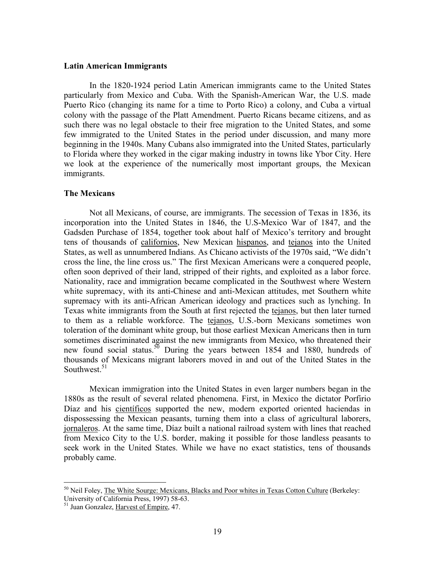# **Latin American Immigrants**

 In the 1820-1924 period Latin American immigrants came to the United States particularly from Mexico and Cuba. With the Spanish-American War, the U.S. made Puerto Rico (changing its name for a time to Porto Rico) a colony, and Cuba a virtual colony with the passage of the Platt Amendment. Puerto Ricans became citizens, and as such there was no legal obstacle to their free migration to the United States, and some few immigrated to the United States in the period under discussion, and many more beginning in the 1940s. Many Cubans also immigrated into the United States, particularly to Florida where they worked in the cigar making industry in towns like Ybor City. Here we look at the experience of the numerically most important groups, the Mexican immigrants.

#### **The Mexicans**

Not all Mexicans, of course, are immigrants. The secession of Texas in 1836, its incorporation into the United States in 1846, the U.S-Mexico War of 1847, and the Gadsden Purchase of 1854, together took about half of Mexico's territory and brought tens of thousands of californios, New Mexican hispanos, and tejanos into the United States, as well as unnumbered Indians. As Chicano activists of the 1970s said, "We didn't cross the line, the line cross us." The first Mexican Americans were a conquered people, often soon deprived of their land, stripped of their rights, and exploited as a labor force. Nationality, race and immigration became complicated in the Southwest where Western white supremacy, with its anti-Chinese and anti-Mexican attitudes, met Southern white supremacy with its anti-African American ideology and practices such as lynching. In Texas white immigrants from the South at first rejected the tejanos, but then later turned to them as a reliable workforce. The tejanos, U.S.-born Mexicans sometimes won toleration of the dominant white group, but those earliest Mexican Americans then in turn sometimes discriminated against the new immigrants from Mexico, who threatened their new found social status.<sup>50</sup> During the years between 1854 and 1880, hundreds of thousands of Mexicans migrant laborers moved in and out of the United States in the Southwest $51$ 

Mexican immigration into the United States in even larger numbers began in the 1880s as the result of several related phenomena. First, in Mexico the dictator Porfirio Díaz and his científicos supported the new, modern exported oriented haciendas in dispossessing the Mexican peasants, turning them into a class of agricultural laborers, jornaleros. At the same time, Díaz built a national railroad system with lines that reached from Mexico City to the U.S. border, making it possible for those landless peasants to seek work in the United States. While we have no exact statistics, tens of thousands probably came.

<sup>&</sup>lt;sup>50</sup> Neil Foley, The White Sourge: Mexicans, Blacks and Poor whites in Texas Cotton Culture (Berkeley: University of California Press, 1997) 58-63.

<sup>51</sup> Juan Gonzalez, Harvest of Empire, 47.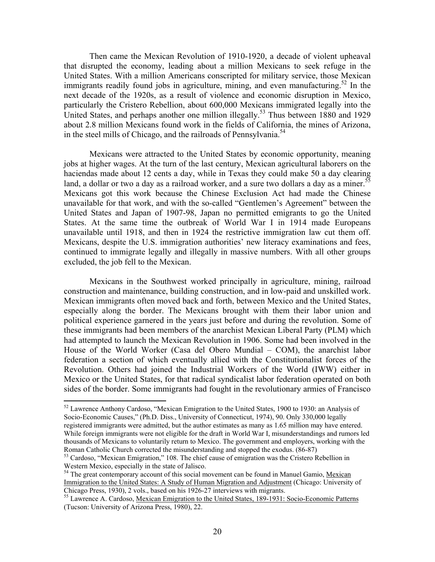Then came the Mexican Revolution of 1910-1920, a decade of violent upheaval that disrupted the economy, leading about a million Mexicans to seek refuge in the United States. With a million Americans conscripted for military service, those Mexican immigrants readily found jobs in agriculture, mining, and even manufacturing.<sup>52</sup> In the next decade of the 1920s, as a result of violence and economic disruption in Mexico, particularly the Cristero Rebellion, about 600,000 Mexicans immigrated legally into the United States, and perhaps another one million illegally.<sup>53</sup> Thus between 1880 and 1929 about 2.8 million Mexicans found work in the fields of California, the mines of Arizona, in the steel mills of Chicago, and the railroads of Pennsylvania.<sup>54</sup>

Mexicans were attracted to the United States by economic opportunity, meaning jobs at higher wages. At the turn of the last century, Mexican agricultural laborers on the haciendas made about 12 cents a day, while in Texas they could make 50 a day clearing land, a dollar or two a day as a railroad worker, and a sure two dollars a day as a miner.<sup>55</sup> Mexicans got this work because the Chinese Exclusion Act had made the Chinese unavailable for that work, and with the so-called "Gentlemen's Agreement" between the United States and Japan of 1907-98, Japan no permitted emigrants to go the United States. At the same time the outbreak of World War I in 1914 made Europeans unavailable until 1918, and then in 1924 the restrictive immigration law cut them off. Mexicans, despite the U.S. immigration authorities' new literacy examinations and fees, continued to immigrate legally and illegally in massive numbers. With all other groups excluded, the job fell to the Mexican.

 Mexicans in the Southwest worked principally in agriculture, mining, railroad construction and maintenance, building construction, and in low-paid and unskilled work. Mexican immigrants often moved back and forth, between Mexico and the United States, especially along the border. The Mexicans brought with them their labor union and political experience garnered in the years just before and during the revolution. Some of these immigrants had been members of the anarchist Mexican Liberal Party (PLM) which had attempted to launch the Mexican Revolution in 1906. Some had been involved in the House of the World Worker (Casa del Obero Mundial – COM), the anarchist labor federation a section of which eventually allied with the Constitutionalist forces of the Revolution. Others had joined the Industrial Workers of the World (IWW) either in Mexico or the United States, for that radical syndicalist labor federation operated on both sides of the border. Some immigrants had fought in the revolutionary armies of Francisco

<sup>&</sup>lt;sup>52</sup> Lawrence Anthony Cardoso, "Mexican Emigration to the United States, 1900 to 1930: an Analysis of Socio-Economic Causes," (Ph.D. Diss., University of Connecticut, 1974), 90. Only 330,000 legally registered immigrants were admitted, but the author estimates as many as 1.65 million may have entered. While foreign immigrants were not eligible for the draft in World War I, misunderstandings and rumors led thousands of Mexicans to voluntarily return to Mexico. The government and employers, working with the Roman Catholic Church corrected the misunderstanding and stopped the exodus. (86-87)

<sup>&</sup>lt;sup>53</sup> Cardoso, "Mexican Emigration," 108. The chief cause of emigration was the Cristero Rebellion in Western Mexico, especially in the state of Jalisco.

<sup>&</sup>lt;sup>54</sup> The great contemporary account of this social movement can be found in Manuel Gamio, Mexican Immigration to the United States: A Study of Human Migration and Adjustment (Chicago: University of Chicago Press, 1930), 2 vols., based on his 1926-27 interviews with migrants.

<sup>&</sup>lt;sup>55</sup> Lawrence A. Cardoso, Mexican Emigration to the United States, 189-1931: Socio-Economic Patterns (Tucson: University of Arizona Press, 1980), 22.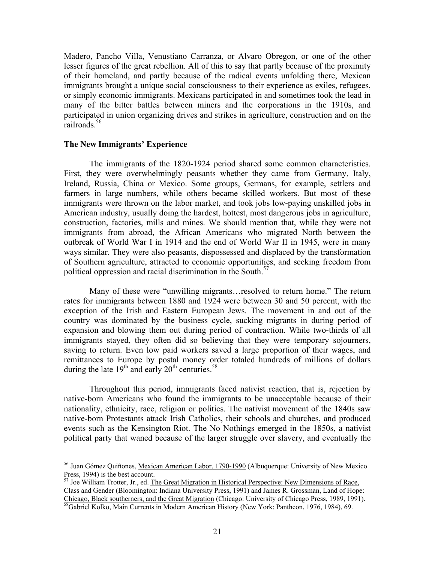Madero, Pancho Villa, Venustiano Carranza, or Alvaro Obregon, or one of the other lesser figures of the great rebellion. All of this to say that partly because of the proximity of their homeland, and partly because of the radical events unfolding there, Mexican immigrants brought a unique social consciousness to their experience as exiles, refugees, or simply economic immigrants. Mexicans participated in and sometimes took the lead in many of the bitter battles between miners and the corporations in the 1910s, and participated in union organizing drives and strikes in agriculture, construction and on the railroads.<sup>56</sup>

#### **The New Immigrants' Experience**

 $\overline{a}$ 

 The immigrants of the 1820-1924 period shared some common characteristics. First, they were overwhelmingly peasants whether they came from Germany, Italy, Ireland, Russia, China or Mexico. Some groups, Germans, for example, settlers and farmers in large numbers, while others became skilled workers. But most of these immigrants were thrown on the labor market, and took jobs low-paying unskilled jobs in American industry, usually doing the hardest, hottest, most dangerous jobs in agriculture, construction, factories, mills and mines. We should mention that, while they were not immigrants from abroad, the African Americans who migrated North between the outbreak of World War I in 1914 and the end of World War II in 1945, were in many ways similar. They were also peasants, dispossessed and displaced by the transformation of Southern agriculture, attracted to economic opportunities, and seeking freedom from political oppression and racial discrimination in the South.<sup>57</sup>

 Many of these were "unwilling migrants…resolved to return home." The return rates for immigrants between 1880 and 1924 were between 30 and 50 percent, with the exception of the Irish and Eastern European Jews. The movement in and out of the country was dominated by the business cycle, sucking migrants in during period of expansion and blowing them out during period of contraction. While two-thirds of all immigrants stayed, they often did so believing that they were temporary sojourners, saving to return. Even low paid workers saved a large proportion of their wages, and remittances to Europe by postal money order totaled hundreds of millions of dollars during the late  $19<sup>th</sup>$  and early  $20<sup>th</sup>$  centuries.<sup>58</sup>

 Throughout this period, immigrants faced nativist reaction, that is, rejection by native-born Americans who found the immigrants to be unacceptable because of their nationality, ethnicity, race, religion or politics. The nativist movement of the 1840s saw native-born Protestants attack Irish Catholics, their schools and churches, and produced events such as the Kensington Riot. The No Nothings emerged in the 1850s, a nativist political party that waned because of the larger struggle over slavery, and eventually the

<sup>&</sup>lt;sup>56</sup> Juan Gómez Quiñones, Mexican American Labor, 1790-1990 (Albuquerque: University of New Mexico Press, 1994) is the best account.

<sup>57</sup> Joe William Trotter, Jr., ed. The Great Migration in Historical Perspective: New Dimensions of Race, Class and Gender (Bloomington: Indiana University Press, 1991) and James R. Grossman, Land of Hope: Chicago, Black southerners, and the Great Migration (Chicago: University of Chicago Press, 1989, 1991).<br><sup>58</sup>Gabriel Kolko, <u>Main Currents in Modern American</u> History (New York: Pantheon, 1976, 1984), 69.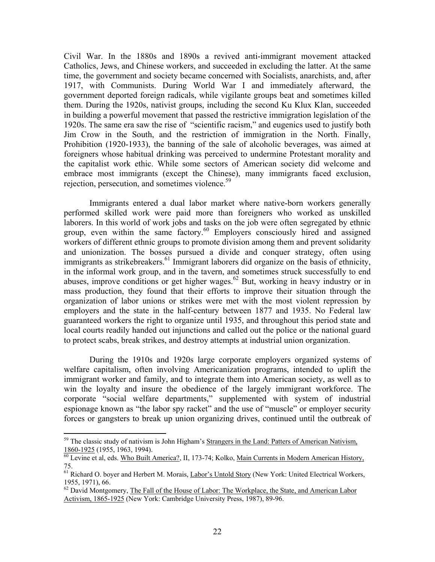Civil War. In the 1880s and 1890s a revived anti-immigrant movement attacked Catholics, Jews, and Chinese workers, and succeeded in excluding the latter. At the same time, the government and society became concerned with Socialists, anarchists, and, after 1917, with Communists. During World War I and immediately afterward, the government deported foreign radicals, while vigilante groups beat and sometimes killed them. During the 1920s, nativist groups, including the second Ku Klux Klan, succeeded in building a powerful movement that passed the restrictive immigration legislation of the 1920s. The same era saw the rise of "scientific racism," and eugenics used to justify both Jim Crow in the South, and the restriction of immigration in the North. Finally, Prohibition (1920-1933), the banning of the sale of alcoholic beverages, was aimed at foreigners whose habitual drinking was perceived to undermine Protestant morality and the capitalist work ethic. While some sectors of American society did welcome and embrace most immigrants (except the Chinese), many immigrants faced exclusion, rejection, persecution, and sometimes violence.<sup>59</sup>

Immigrants entered a dual labor market where native-born workers generally performed skilled work were paid more than foreigners who worked as unskilled laborers. In this world of work jobs and tasks on the job were often segregated by ethnic group, even within the same factory.<sup>60</sup> Employers consciously hired and assigned workers of different ethnic groups to promote division among them and prevent solidarity and unionization. The bosses pursued a divide and conquer strategy, often using immigrants as strikebreakers.<sup>61</sup> Immigrant laborers did organize on the basis of ethnicity, in the informal work group, and in the tavern, and sometimes struck successfully to end abuses, improve conditions or get higher wages.62 But, working in heavy industry or in mass production, they found that their efforts to improve their situation through the organization of labor unions or strikes were met with the most violent repression by employers and the state in the half-century between 1877 and 1935. No Federal law guaranteed workers the right to organize until 1935, and throughout this period state and local courts readily handed out injunctions and called out the police or the national guard to protect scabs, break strikes, and destroy attempts at industrial union organization.

During the 1910s and 1920s large corporate employers organized systems of welfare capitalism, often involving Americanization programs, intended to uplift the immigrant worker and family, and to integrate them into American society, as well as to win the loyalty and insure the obedience of the largely immigrant workforce. The corporate "social welfare departments," supplemented with system of industrial espionage known as "the labor spy racket" and the use of "muscle" or employer security forces or gangsters to break up union organizing drives, continued until the outbreak of

<sup>&</sup>lt;sup>59</sup> The classic study of nativism is John Higham's Strangers in the Land: Patters of American Nativism, 1860-1925 (1955, 1963, 1994).<br><sup>60</sup> Levine et al, eds. <u>Who Built America?</u>, II, 173-74; Kolko, <u>Main Currents in Modern American History</u>,

<sup>75.</sup> 

<sup>&</sup>lt;sup>61</sup> Richard O. boyer and Herbert M. Morais, *Labor's Untold Story* (New York: United Electrical Workers, 1955, 1971), 66.

 $62$  David Montgomery, The Fall of the House of Labor: The Workplace, the State, and American Labor Activism, 1865-1925 (New York: Cambridge University Press, 1987), 89-96.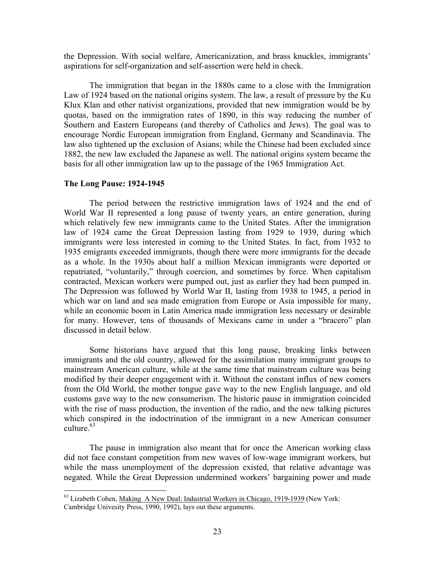the Depression. With social welfare, Americanization, and brass knuckles, immigrants' aspirations for self-organization and self-assertion were held in check.

The immigration that began in the 1880s came to a close with the Immigration Law of 1924 based on the national origins system. The law, a result of pressure by the Ku Klux Klan and other nativist organizations, provided that new immigration would be by quotas, based on the immigration rates of 1890, in this way reducing the number of Southern and Eastern Europeans (and thereby of Catholics and Jews). The goal was to encourage Nordic European immigration from England, Germany and Scandinavia. The law also tightened up the exclusion of Asians; while the Chinese had been excluded since 1882, the new law excluded the Japanese as well. The national origins system became the basis for all other immigration law up to the passage of the 1965 Immigration Act.

### **The Long Pause: 1924-1945**

 $\overline{a}$ 

 The period between the restrictive immigration laws of 1924 and the end of World War II represented a long pause of twenty years, an entire generation, during which relatively few new immigrants came to the United States. After the immigration law of 1924 came the Great Depression lasting from 1929 to 1939, during which immigrants were less interested in coming to the United States. In fact, from 1932 to 1935 emigrants exceeded immigrants, though there were more immigrants for the decade as a whole. In the 1930s about half a million Mexican immigrants were deported or repatriated, "voluntarily," through coercion, and sometimes by force. When capitalism contracted, Mexican workers were pumped out, just as earlier they had been pumped in. The Depression was followed by World War II, lasting from 1938 to 1945, a period in which war on land and sea made emigration from Europe or Asia impossible for many, while an economic boom in Latin America made immigration less necessary or desirable for many. However, tens of thousands of Mexicans came in under a "bracero" plan discussed in detail below.

 Some historians have argued that this long pause, breaking links between immigrants and the old country, allowed for the assimilation many immigrant groups to mainstream American culture, while at the same time that mainstream culture was being modified by their deeper engagement with it. Without the constant influx of new comers from the Old World, the mother tongue gave way to the new English language, and old customs gave way to the new consumerism. The historic pause in immigration coincided with the rise of mass production, the invention of the radio, and the new talking pictures which conspired in the indoctrination of the immigrant in a new American consumer culture  $63$ 

The pause in immigration also meant that for once the American working class did not face constant competition from new waves of low-wage immigrant workers, but while the mass unemployment of the depression existed, that relative advantage was negated. While the Great Depression undermined workers' bargaining power and made

<sup>&</sup>lt;sup>63</sup> Lizabeth Cohen, Making A New Deal: Industrial Workers in Chicago, 1919-1939 (New York: Cambridge Univesity Press, 1990, 1992), lays out these arguments.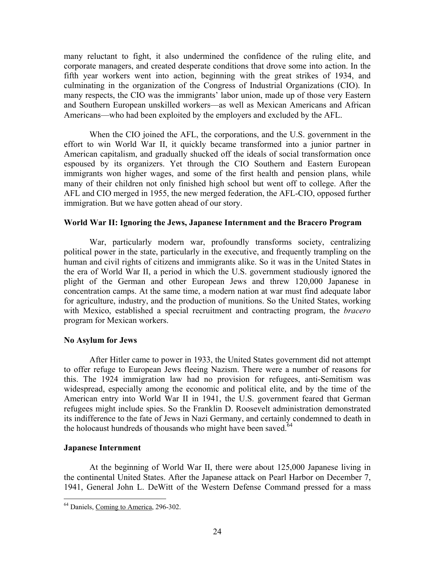many reluctant to fight, it also undermined the confidence of the ruling elite, and corporate managers, and created desperate conditions that drove some into action. In the fifth year workers went into action, beginning with the great strikes of 1934, and culminating in the organization of the Congress of Industrial Organizations (CIO). In many respects, the CIO was the immigrants' labor union, made up of those very Eastern and Southern European unskilled workers—as well as Mexican Americans and African Americans—who had been exploited by the employers and excluded by the AFL.

When the CIO joined the AFL, the corporations, and the U.S. government in the effort to win World War II, it quickly became transformed into a junior partner in American capitalism, and gradually shucked off the ideals of social transformation once espoused by its organizers. Yet through the CIO Southern and Eastern European immigrants won higher wages, and some of the first health and pension plans, while many of their children not only finished high school but went off to college. After the AFL and CIO merged in 1955, the new merged federation, the AFL-CIO, opposed further immigration. But we have gotten ahead of our story.

# **World War II: Ignoring the Jews, Japanese Internment and the Bracero Program**

 War, particularly modern war, profoundly transforms society, centralizing political power in the state, particularly in the executive, and frequently trampling on the human and civil rights of citizens and immigrants alike. So it was in the United States in the era of World War II, a period in which the U.S. government studiously ignored the plight of the German and other European Jews and threw 120,000 Japanese in concentration camps. At the same time, a modern nation at war must find adequate labor for agriculture, industry, and the production of munitions. So the United States, working with Mexico, established a special recruitment and contracting program, the *bracero* program for Mexican workers.

# **No Asylum for Jews**

After Hitler came to power in 1933, the United States government did not attempt to offer refuge to European Jews fleeing Nazism. There were a number of reasons for this. The 1924 immigration law had no provision for refugees, anti-Semitism was widespread, especially among the economic and political elite, and by the time of the American entry into World War II in 1941, the U.S. government feared that German refugees might include spies. So the Franklin D. Roosevelt administration demonstrated its indifference to the fate of Jews in Nazi Germany, and certainly condemned to death in the holocaust hundreds of thousands who might have been saved. $64$ 

# **Japanese Internment**

 $\overline{a}$ 

At the beginning of World War II, there were about 125,000 Japanese living in the continental United States. After the Japanese attack on Pearl Harbor on December 7, 1941, General John L. DeWitt of the Western Defense Command pressed for a mass

<sup>64</sup> Daniels, Coming to America, 296-302.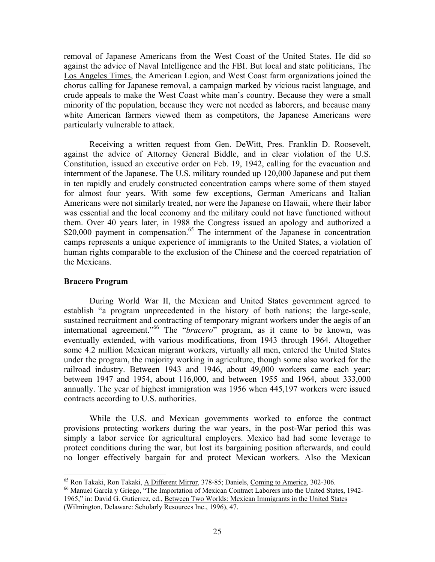removal of Japanese Americans from the West Coast of the United States. He did so against the advice of Naval Intelligence and the FBI. But local and state politicians, The Los Angeles Times, the American Legion, and West Coast farm organizations joined the chorus calling for Japanese removal, a campaign marked by vicious racist language, and crude appeals to make the West Coast white man's country. Because they were a small minority of the population, because they were not needed as laborers, and because many white American farmers viewed them as competitors, the Japanese Americans were particularly vulnerable to attack.

Receiving a written request from Gen. DeWitt, Pres. Franklin D. Roosevelt, against the advice of Attorney General Biddle, and in clear violation of the U.S. Constitution, issued an executive order on Feb. 19, 1942, calling for the evacuation and internment of the Japanese. The U.S. military rounded up 120,000 Japanese and put them in ten rapidly and crudely constructed concentration camps where some of them stayed for almost four years. With some few exceptions, German Americans and Italian Americans were not similarly treated, nor were the Japanese on Hawaii, where their labor was essential and the local economy and the military could not have functioned without them. Over 40 years later, in 1988 the Congress issued an apology and authorized a \$20,000 payment in compensation.<sup>65</sup> The internment of the Japanese in concentration camps represents a unique experience of immigrants to the United States, a violation of human rights comparable to the exclusion of the Chinese and the coerced repatriation of the Mexicans.

#### **Bracero Program**

During World War II, the Mexican and United States government agreed to establish "a program unprecedented in the history of both nations; the large-scale, sustained recruitment and contracting of temporary migrant workers under the aegis of an international agreement."66 The "*bracero*" program, as it came to be known, was eventually extended, with various modifications, from 1943 through 1964. Altogether some 4.2 million Mexican migrant workers, virtually all men, entered the United States under the program, the majority working in agriculture, though some also worked for the railroad industry. Between 1943 and 1946, about 49,000 workers came each year; between 1947 and 1954, about 116,000, and between 1955 and 1964, about 333,000 annually. The year of highest immigration was 1956 when 445,197 workers were issued contracts according to U.S. authorities.

While the U.S. and Mexican governments worked to enforce the contract provisions protecting workers during the war years, in the post-War period this was simply a labor service for agricultural employers. Mexico had had some leverage to protect conditions during the war, but lost its bargaining position afterwards, and could no longer effectively bargain for and protect Mexican workers. Also the Mexican

<sup>&</sup>lt;sup>65</sup> Ron Takaki, Ron Takaki, A Different Mirror, 378-85; Daniels, Coming to America, 302-306.

<sup>&</sup>lt;sup>66</sup> Manuel García y Griego, "The Importation of Mexican Contract Laborers into the United States, 1942-1965," in: David G. Gutíerrez, ed., Between Two Worlds: Mexican Immigrants in the United States (Wilmington, Delaware: Scholarly Resources Inc., 1996), 47.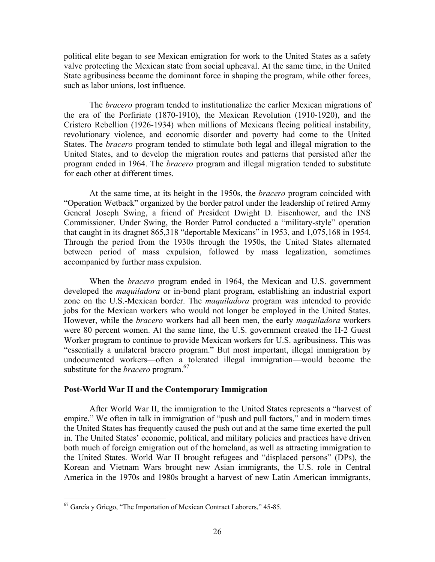political elite began to see Mexican emigration for work to the United States as a safety valve protecting the Mexican state from social upheaval. At the same time, in the United State agribusiness became the dominant force in shaping the program, while other forces, such as labor unions, lost influence.

 The *bracero* program tended to institutionalize the earlier Mexican migrations of the era of the Porfiriate (1870-1910), the Mexican Revolution (1910-1920), and the Cristero Rebellion (1926-1934) when millions of Mexicans fleeing political instability, revolutionary violence, and economic disorder and poverty had come to the United States. The *bracero* program tended to stimulate both legal and illegal migration to the United States, and to develop the migration routes and patterns that persisted after the program ended in 1964. The *bracero* program and illegal migration tended to substitute for each other at different times.

 At the same time, at its height in the 1950s, the *bracero* program coincided with "Operation Wetback" organized by the border patrol under the leadership of retired Army General Joseph Swing, a friend of President Dwight D. Eisenhower, and the INS Commissioner. Under Swing, the Border Patrol conducted a "military-style" operation that caught in its dragnet 865,318 "deportable Mexicans" in 1953, and 1,075,168 in 1954. Through the period from the 1930s through the 1950s, the United States alternated between period of mass expulsion, followed by mass legalization, sometimes accompanied by further mass expulsion.

 When the *bracero* program ended in 1964, the Mexican and U.S. government developed the *maquiladora* or in-bond plant program, establishing an industrial export zone on the U.S.-Mexican border. The *maquiladora* program was intended to provide jobs for the Mexican workers who would not longer be employed in the United States. However, while the *bracero* workers had all been men, the early *maquiladora* workers were 80 percent women. At the same time, the U.S. government created the H-2 Guest Worker program to continue to provide Mexican workers for U.S. agribusiness. This was "essentially a unilateral bracero program." But most important, illegal immigration by undocumented workers—often a tolerated illegal immigration—would become the substitute for the *bracero* program.<sup>67</sup>

# **Post-World War II and the Contemporary Immigration**

 After World War II, the immigration to the United States represents a "harvest of empire." We often in talk in immigration of "push and pull factors," and in modern times the United States has frequently caused the push out and at the same time exerted the pull in. The United States' economic, political, and military policies and practices have driven both much of foreign emigration out of the homeland, as well as attracting immigration to the United States. World War II brought refugees and "displaced persons" (DPs), the Korean and Vietnam Wars brought new Asian immigrants, the U.S. role in Central America in the 1970s and 1980s brought a harvest of new Latin American immigrants,

<sup>67</sup> García y Griego, "The Importation of Mexican Contract Laborers," 45-85.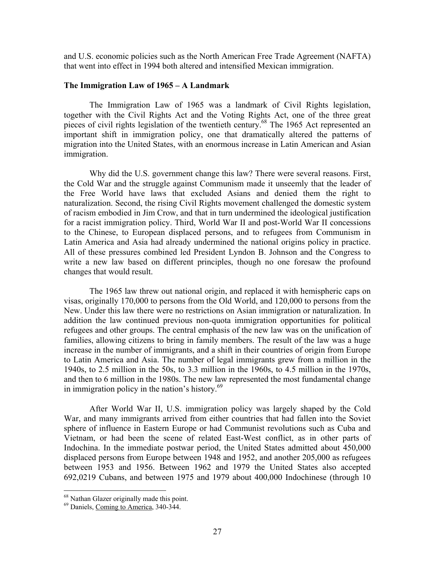and U.S. economic policies such as the North American Free Trade Agreement (NAFTA) that went into effect in 1994 both altered and intensified Mexican immigration.

# **The Immigration Law of 1965 – A Landmark**

 The Immigration Law of 1965 was a landmark of Civil Rights legislation, together with the Civil Rights Act and the Voting Rights Act, one of the three great pieces of civil rights legislation of the twentieth century.<sup>68</sup> The 1965 Act represented an important shift in immigration policy, one that dramatically altered the patterns of migration into the United States, with an enormous increase in Latin American and Asian immigration.

Why did the U.S. government change this law? There were several reasons. First, the Cold War and the struggle against Communism made it unseemly that the leader of the Free World have laws that excluded Asians and denied them the right to naturalization. Second, the rising Civil Rights movement challenged the domestic system of racism embodied in Jim Crow, and that in turn undermined the ideological justification for a racist immigration policy. Third, World War II and post-World War II concessions to the Chinese, to European displaced persons, and to refugees from Communism in Latin America and Asia had already undermined the national origins policy in practice. All of these pressures combined led President Lyndon B. Johnson and the Congress to write a new law based on different principles, though no one foresaw the profound changes that would result.

The 1965 law threw out national origin, and replaced it with hemispheric caps on visas, originally 170,000 to persons from the Old World, and 120,000 to persons from the New. Under this law there were no restrictions on Asian immigration or naturalization. In addition the law continued previous non-quota immigration opportunities for political refugees and other groups. The central emphasis of the new law was on the unification of families, allowing citizens to bring in family members. The result of the law was a huge increase in the number of immigrants, and a shift in their countries of origin from Europe to Latin America and Asia. The number of legal immigrants grew from a million in the 1940s, to 2.5 million in the 50s, to 3.3 million in the 1960s, to 4.5 million in the 1970s, and then to 6 million in the 1980s. The new law represented the most fundamental change in immigration policy in the nation's history. $69$ 

After World War II, U.S. immigration policy was largely shaped by the Cold War, and many immigrants arrived from either countries that had fallen into the Soviet sphere of influence in Eastern Europe or had Communist revolutions such as Cuba and Vietnam, or had been the scene of related East-West conflict, as in other parts of Indochina. In the immediate postwar period, the United States admitted about 450,000 displaced persons from Europe between 1948 and 1952, and another 205,000 as refugees between 1953 and 1956. Between 1962 and 1979 the United States also accepted 692,0219 Cubans, and between 1975 and 1979 about 400,000 Indochinese (through 10

<sup>&</sup>lt;sup>68</sup> Nathan Glazer originally made this point.

<sup>69</sup> Daniels, Coming to America, 340-344.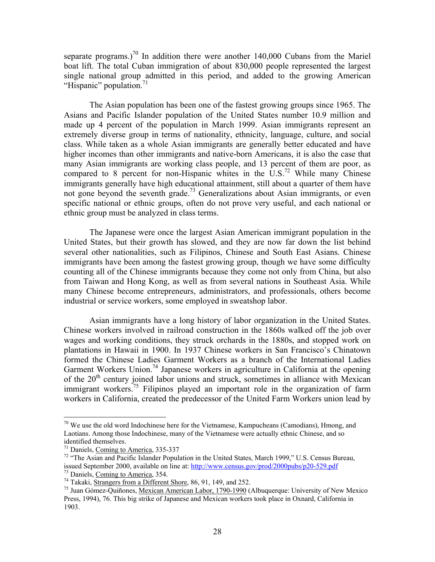separate programs.)<sup>70</sup> In addition there were another  $140,000$  Cubans from the Mariel boat lift. The total Cuban immigration of about 830,000 people represented the largest single national group admitted in this period, and added to the growing American "Hispanic" population.<sup>71</sup>

The Asian population has been one of the fastest growing groups since 1965. The Asians and Pacific Islander population of the United States number 10.9 million and made up 4 percent of the population in March 1999. Asian immigrants represent an extremely diverse group in terms of nationality, ethnicity, language, culture, and social class. While taken as a whole Asian immigrants are generally better educated and have higher incomes than other immigrants and native-born Americans, it is also the case that many Asian immigrants are working class people, and 13 percent of them are poor, as compared to 8 percent for non-Hispanic whites in the  $\overline{U.S.}^{72}$  While many Chinese immigrants generally have high educational attainment, still about a quarter of them have not gone beyond the seventh grade.<sup>73</sup> Generalizations about Asian immigrants, or even specific national or ethnic groups, often do not prove very useful, and each national or ethnic group must be analyzed in class terms.

The Japanese were once the largest Asian American immigrant population in the United States, but their growth has slowed, and they are now far down the list behind several other nationalities, such as Filipinos, Chinese and South East Asians. Chinese immigrants have been among the fastest growing group, though we have some difficulty counting all of the Chinese immigrants because they come not only from China, but also from Taiwan and Hong Kong, as well as from several nations in Southeast Asia. While many Chinese become entrepreneurs, administrators, and professionals, others become industrial or service workers, some employed in sweatshop labor.

Asian immigrants have a long history of labor organization in the United States. Chinese workers involved in railroad construction in the 1860s walked off the job over wages and working conditions, they struck orchards in the 1880s, and stopped work on plantations in Hawaii in 1900. In 1937 Chinese workers in San Francisco's Chinatown formed the Chinese Ladies Garment Workers as a branch of the International Ladies Garment Workers Union.<sup>74</sup> Japanese workers in agriculture in California at the opening of the  $20<sup>th</sup>$  century joined labor unions and struck, sometimes in alliance with Mexican immigrant workers.<sup>75</sup> Filipinos played an important role in the organization of farm workers in California, created the predecessor of the United Farm Workers union lead by

 $70$  We use the old word Indochinese here for the Vietnamese, Kampucheans (Camodians), Hmong, and Laotians. Among those Indochinese, many of the Vietnamese were actually ethnic Chinese, and so identified themselves.<br> $^{71}$  Daniels, Coming to America, 335-337

<sup>&</sup>lt;sup>72</sup> "The Asian and Pacific Islander Population in the United States, March 1999," U.S. Census Bureau, issued September 2000, available on line at: http://www.census.gov/prod/2000pubs/p20-529.pdf

<sup>&</sup>lt;sup>73</sup> Daniels, Coming to America, 354.<br><sup>74</sup> Takaki, <u>Strangers from a Different Shore</u>, 86, 91, 149, and 252.<br><sup>75</sup> Juan Gómez-Quiñones, <u>Mexican American Labor, 1790-1990</u> (Albuquerque: University of New Mexico Press, 1994), 76. This big strike of Japanese and Mexican workers took place in Oxnard, California in 1903.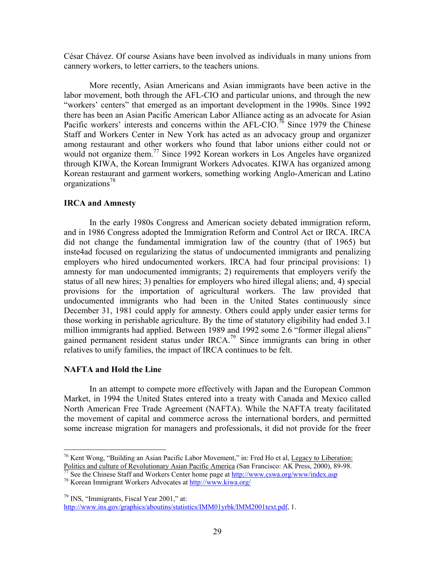César Chávez. Of course Asians have been involved as individuals in many unions from cannery workers, to letter carriers, to the teachers unions.

More recently, Asian Americans and Asian immigrants have been active in the labor movement, both through the AFL-CIO and particular unions, and through the new "workers' centers" that emerged as an important development in the 1990s. Since 1992 there has been an Asian Pacific American Labor Alliance acting as an advocate for Asian Pacific workers' interests and concerns within the AFL-CIO.<sup>76</sup> Since 1979 the Chinese Staff and Workers Center in New York has acted as an advocacy group and organizer among restaurant and other workers who found that labor unions either could not or would not organize them.<sup>77</sup> Since 1992 Korean workers in Los Angeles have organized through KIWA, the Korean Immigrant Workers Advocates. KIWA has organized among Korean restaurant and garment workers, something working Anglo-American and Latino organizations<sup>78</sup>

# **IRCA and Amnesty**

In the early 1980s Congress and American society debated immigration reform, and in 1986 Congress adopted the Immigration Reform and Control Act or IRCA. IRCA did not change the fundamental immigration law of the country (that of 1965) but inste4ad focused on regularizing the status of undocumented immigrants and penalizing employers who hired undocumented workers. IRCA had four principal provisions: 1) amnesty for man undocumented immigrants; 2) requirements that employers verify the status of all new hires; 3) penalties for employers who hired illegal aliens; and, 4) special provisions for the importation of agricultural workers. The law provided that undocumented immigrants who had been in the United States continuously since December 31, 1981 could apply for amnesty. Others could apply under easier terms for those working in perishable agriculture. By the time of statutory eligibility had ended 3.1 million immigrants had applied. Between 1989 and 1992 some 2.6 "former illegal aliens" gained permanent resident status under IRCA.79 Since immigrants can bring in other relatives to unify families, the impact of IRCA continues to be felt.

# **NAFTA and Hold the Line**

 $\overline{a}$ 

 In an attempt to compete more effectively with Japan and the European Common Market, in 1994 the United States entered into a treaty with Canada and Mexico called North American Free Trade Agreement (NAFTA). While the NAFTA treaty facilitated the movement of capital and commerce across the international borders, and permitted some increase migration for managers and professionals, it did not provide for the freer

<sup>&</sup>lt;sup>76</sup> Kent Wong, "Building an Asian Pacific Labor Movement," in: Fred Ho et al, Legacy to Liberation: Politics and culture of Revolutionary Asian Pacific America (San Francisco: AK Press, 2000), 89-98.

<sup>&</sup>lt;sup>77</sup> See the Chinese Staff and Workers Center home page at  $\frac{http://www.cswa.org/www/indexasp}{18}$  Korean Immigrant Workers Advocates at  $\frac{http://www.kiwa.org/}{http://www.kiwa.org/}$ 

 $79$  INS, "Immigrants, Fiscal Year 2001," at:

http://www.ins.gov/graphics/aboutins/statistics/IMM01yrbk/IMM2001text.pdf, 1.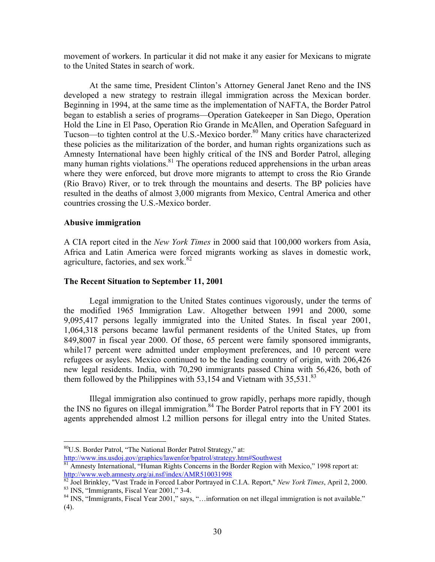movement of workers. In particular it did not make it any easier for Mexicans to migrate to the United States in search of work.

 At the same time, President Clinton's Attorney General Janet Reno and the INS developed a new strategy to restrain illegal immigration across the Mexican border. Beginning in 1994, at the same time as the implementation of NAFTA, the Border Patrol began to establish a series of programs—Operation Gatekeeper in San Diego, Operation Hold the Line in El Paso, Operation Rio Grande in McAllen, and Operation Safeguard in Tucson—to tighten control at the U.S.-Mexico border.<sup>80</sup> Many critics have characterized these policies as the militarization of the border, and human rights organizations such as Amnesty International have been highly critical of the INS and Border Patrol, alleging many human rights violations.<sup>81</sup> The operations reduced apprehensions in the urban areas where they were enforced, but drove more migrants to attempt to cross the Rio Grande (Rio Bravo) River, or to trek through the mountains and deserts. The BP policies have resulted in the deaths of almost 3,000 migrants from Mexico, Central America and other countries crossing the U.S.-Mexico border.

# **Abusive immigration**

 $\overline{a}$ 

A CIA report cited in the *New York Times* in 2000 said that 100,000 workers from Asia, Africa and Latin America were forced migrants working as slaves in domestic work, agriculture, factories, and sex work. $82$ 

# **The Recent Situation to September 11, 2001**

Legal immigration to the United States continues vigorously, under the terms of the modified 1965 Immigration Law. Altogether between 1991 and 2000, some 9,095,417 persons legally immigrated into the United States. In fiscal year 2001, 1,064,318 persons became lawful permanent residents of the United States, up from 849,8007 in fiscal year 2000. Of those, 65 percent were family sponsored immigrants, while17 percent were admitted under employment preferences, and 10 percent were refugees or asylees. Mexico continued to be the leading country of origin, with 206,426 new legal residents. India, with 70,290 immigrants passed China with 56,426, both of them followed by the Philippines with 53,154 and Vietnam with  $35.531<sup>83</sup>$ 

 Illegal immigration also continued to grow rapidly, perhaps more rapidly, though the INS no figures on illegal immigration.<sup>84</sup> The Border Patrol reports that in FY 2001 its agents apprehended almost l.2 million persons for illegal entry into the United States.

<sup>&</sup>lt;sup>80</sup>U.S. Border Patrol, "The National Border Patrol Strategy," at:<br>http://www.ins.usdoj.gov/graphics/lawenfor/bpatrol/strategy.htm#Southwest

Amnesty International, "Human Rights Concerns in the Border Region with Mexico," 1998 report at: http://www.web.amnesty.org/ai.nsf/index/AMR510031998<br><sup>82</sup> Joel Brinkley, "Vast Trade in Forced Labor Portrayed in C.I.A. Report," *New York Times*, April 2, 2000.

 $\frac{83}{100}$  INS, "Immigrants, Fiscal Year 2001," 3-4.<br> $\frac{84}{100}$  INS, "Immigrants, Fiscal Year 2001," says, "... information on net illegal immigration is not available."

<sup>(4).</sup>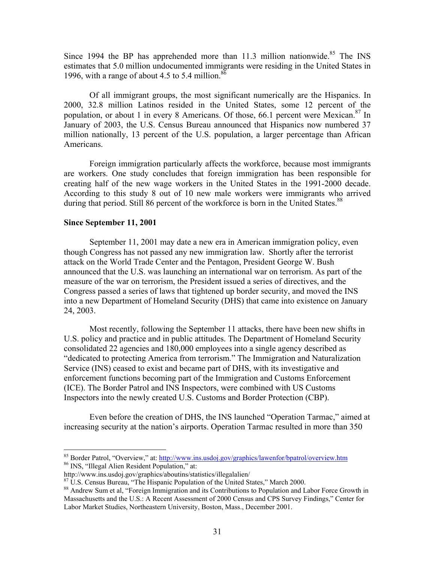Since 1994 the BP has apprehended more than 11.3 million nationwide.<sup>85</sup> The INS estimates that 5.0 million undocumented immigrants were residing in the United States in 1996, with a range of about 4.5 to 5.4 million.<sup>86</sup>

 Of all immigrant groups, the most significant numerically are the Hispanics. In 2000, 32.8 million Latinos resided in the United States, some 12 percent of the population, or about 1 in every 8 Americans. Of those, 66.1 percent were Mexican.<sup>87</sup> In January of 2003, the U.S. Census Bureau announced that Hispanics now numbered 37 million nationally, 13 percent of the U.S. population, a larger percentage than African Americans.

Foreign immigration particularly affects the workforce, because most immigrants are workers. One study concludes that foreign immigration has been responsible for creating half of the new wage workers in the United States in the 1991-2000 decade. According to this study 8 out of 10 new male workers were immigrants who arrived during that period. Still 86 percent of the workforce is born in the United States.<sup>88</sup>

# **Since September 11, 2001**

 $\overline{a}$ 

 September 11, 2001 may date a new era in American immigration policy, even though Congress has not passed any new immigration law. Shortly after the terrorist attack on the World Trade Center and the Pentagon, President George W. Bush announced that the U.S. was launching an international war on terrorism. As part of the measure of the war on terrorism, the President issued a series of directives, and the Congress passed a series of laws that tightened up border security, and moved the INS into a new Department of Homeland Security (DHS) that came into existence on January 24, 2003.

Most recently, following the September 11 attacks, there have been new shifts in U.S. policy and practice and in public attitudes. The Department of Homeland Security consolidated 22 agencies and 180,000 employees into a single agency described as "dedicated to protecting America from terrorism." The Immigration and Naturalization Service (INS) ceased to exist and became part of DHS, with its investigative and enforcement functions becoming part of the Immigration and Customs Enforcement (ICE). The Border Patrol and INS Inspectors, were combined with US Customs Inspectors into the newly created U.S. Customs and Border Protection (CBP).

Even before the creation of DHS, the INS launched "Operation Tarmac," aimed at increasing security at the nation's airports. Operation Tarmac resulted in more than 350

<sup>&</sup>lt;sup>85</sup> Border Patrol, "Overview," at: <u>http://www.ins.usdoj.gov/graphics/lawenfor/bpatrol/overview.htm</u><br><sup>86</sup> INS, "Illegal Alien Resident Population," at:

http://www.ins.usdoj.gov/graphics/aboutins/statistics/illegalalien/<br><sup>87</sup> U.S. Census Bureau, "The Hispanic Population of the United States," March 2000.

<sup>&</sup>lt;sup>88</sup> Andrew Sum et al, "Foreign Immigration and its Contributions to Population and Labor Force Growth in Massachusetts and the U.S.: A Recent Assessment of 2000 Census and CPS Survey Findings," Center for Labor Market Studies, Northeastern University, Boston, Mass., December 2001.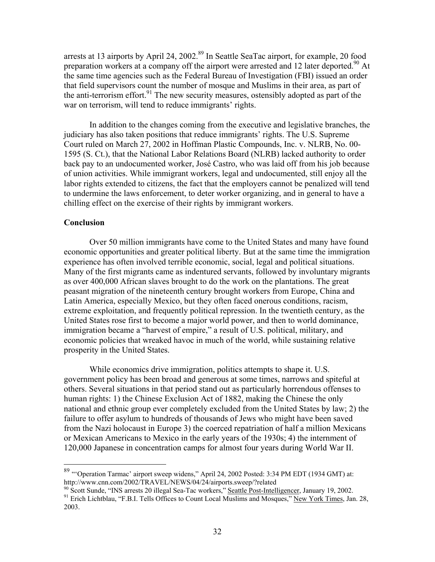arrests at 13 airports by April 24, 2002.<sup>89</sup> In Seattle SeaTac airport, for example, 20 food preparation workers at a company off the airport were arrested and 12 later deported.<sup>90</sup> At the same time agencies such as the Federal Bureau of Investigation (FBI) issued an order that field supervisors count the number of mosque and Muslims in their area, as part of the anti-terrorism effort.<sup>91</sup> The new security measures, ostensibly adopted as part of the war on terrorism, will tend to reduce immigrants' rights.

 In addition to the changes coming from the executive and legislative branches, the judiciary has also taken positions that reduce immigrants' rights. The U.S. Supreme Court ruled on March 27, 2002 in Hoffman Plastic Compounds, Inc. v. NLRB, No. 00- 1595 (S. Ct.), that the National Labor Relations Board (NLRB) lacked authority to order back pay to an undocumented worker, José Castro, who was laid off from his job because of union activities. While immigrant workers, legal and undocumented, still enjoy all the labor rights extended to citizens, the fact that the employers cannot be penalized will tend to undermine the laws enforcement, to deter worker organizing, and in general to have a chilling effect on the exercise of their rights by immigrant workers.

# **Conclusion**

 $\overline{a}$ 

 Over 50 million immigrants have come to the United States and many have found economic opportunities and greater political liberty. But at the same time the immigration experience has often involved terrible economic, social, legal and political situations. Many of the first migrants came as indentured servants, followed by involuntary migrants as over 400,000 African slaves brought to do the work on the plantations. The great peasant migration of the nineteenth century brought workers from Europe, China and Latin America, especially Mexico, but they often faced onerous conditions, racism, extreme exploitation, and frequently political repression. In the twentieth century, as the United States rose first to become a major world power, and then to world dominance, immigration became a "harvest of empire," a result of U.S. political, military, and economic policies that wreaked havoc in much of the world, while sustaining relative prosperity in the United States.

While economics drive immigration, politics attempts to shape it. U.S. government policy has been broad and generous at some times, narrows and spiteful at others. Several situations in that period stand out as particularly horrendous offenses to human rights: 1) the Chinese Exclusion Act of 1882, making the Chinese the only national and ethnic group ever completely excluded from the United States by law; 2) the failure to offer asylum to hundreds of thousands of Jews who might have been saved from the Nazi holocaust in Europe 3) the coerced repatriation of half a million Mexicans or Mexican Americans to Mexico in the early years of the 1930s; 4) the internment of 120,000 Japanese in concentration camps for almost four years during World War II.

 $89$  "Operation Tarmac' airport sweep widens," April 24, 2002 Posted: 3:34 PM EDT (1934 GMT) at: http://www.cnn.com/2002/TRAVEL/NEWS/04/24/airports.sweep/?related<br><sup>90</sup> Scott Sunde, "INS arrests 20 illegal Sea-Tac workers," <u>Seattle Post-Intelligencer</u>, January 19, 2002.<br><sup>91</sup> Erich Lichtblau, "F.B.I. Tells Offices to C

<sup>2003.</sup>